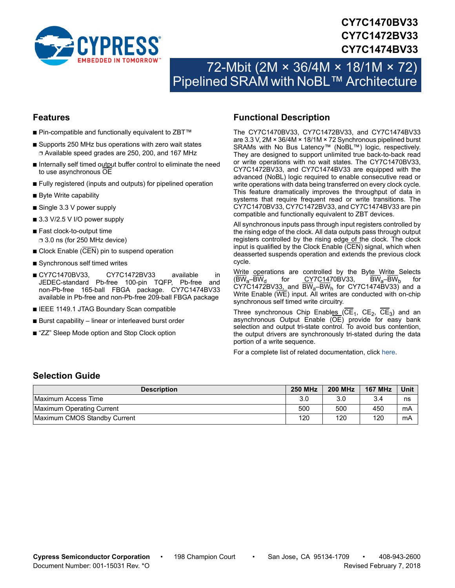

# **CY7C1470BV33 CY7C1472BV33 CY7C1474BV33**

# 72-Mbit (2M × 36/4M × 18/1M × 72) Pipelined SRAM with NoBL™ Architecture

#### **Features**

- Pin-compatible and functionally equivalent to ZBT™
- Supports 250 MHz bus operations with zero wait states ❐ Available speed grades are 250, 200, and 167 MHz
- Internally self timed output buffer control to eliminate the need to use asynchronous OE
- Fully registered (inputs and outputs) for pipelined operation
- Byte Write capability
- Single 3.3 V power supply
- 3.3 V/2.5 V I/O power supply
- Fast clock-to-output time ❐ 3.0 ns (for 250 MHz device)
- Clock Enable (CEN) pin to suspend operation
- Synchronous self timed writes
- CY7C1470BV33, CY7C1472BV33 available in JEDEC-standard Pb-free 100-pin TQFP, Pb-free and non-Pb-free 165-ball FBGA package. CY7C1474BV33 available in Pb-free and non-Pb-free 209-ball FBGA package
- IEEE 1149.1 JTAG Boundary Scan compatible
- Burst capability linear or interleaved burst order
- "ZZ" Sleep Mode option and Stop Clock option

### <span id="page-0-0"></span>**Functional Description**

The CY7C1470BV33, CY7C1472BV33, and CY7C1474BV33 are 3.3 V, 2M × 36/4M × 18/1M × 72 Synchronous pipelined burst SRAMs with No Bus Latency™ (NoBL™) logic, respectively. They are designed to support unlimited true back-to-back read or write operations with no wait states. The CY7C1470BV33, CY7C1472BV33, and CY7C1474BV33 are equipped with the advanced (NoBL) logic required to enable consecutive read or write operations with data being transferred on every clock cycle. This feature dramatically improves the throughput of data in systems that require frequent read or write transitions. The CY7C1470BV33, CY7C1472BV33, and CY7C1474BV33 are pin compatible and functionally equivalent to ZBT devices.

All synchronous inputs pass through input registers controlled by the rising edge of the clock. All data outputs pass through output registers controlled by the rising edge of the clock. The clock input is qualified by the Clock Enable (CEN) signal, which when deasserted suspends operation and extends the previous clock cycle.

Write operations are controlled by the Byte Write Selects  $(BW_a-BW_d$  for CY7C1470BV33, BW<sub>a</sub>–BW<sub>b</sub> for  $CY7C1472BV33$ , and  $\overline{BW}_{a} - \overline{BW}_{h}$  for CY7C1474BV33) and a Write Enable (WE) input. All writes are conducted with on-chip synchronous self timed write circuitry.

Three synchronous Chip Enables  $(CE_1, CE_2, CE_3)$  and an asynchronous Output Enable (OE) provide for easy bank selection and output tri-state control. To avoid bus contention, the output drivers are synchronously tri-stated during the data portion of a write sequence.

For a complete list of related documentation, click [here](http://www.cypress.com/?rID=14134).

#### **Selection Guide**

| <b>Description</b>           | <b>250 MHz</b> | <b>200 MHz</b> | <b>167 MHz</b> | Unit |
|------------------------------|----------------|----------------|----------------|------|
| Maximum Access Time          | 3.0            | 3.0            | 3.4            | ns   |
| Maximum Operating Current    | 500            | 500            | 450            | mΑ   |
| Maximum CMOS Standby Current | 120            | 120            | 120            | mA   |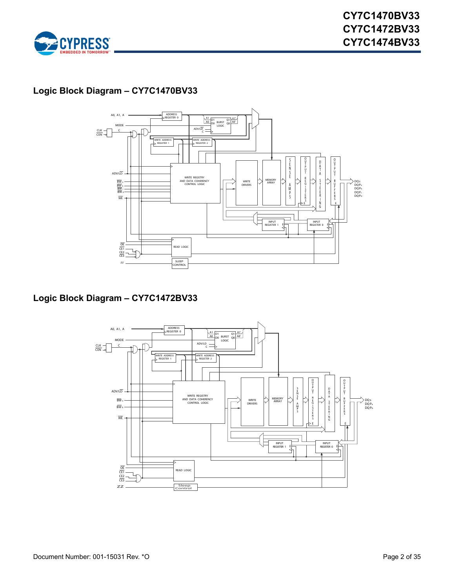

# **Logic Block Diagram – CY7C1470BV33**



# **Logic Block Diagram – CY7C1472BV33**

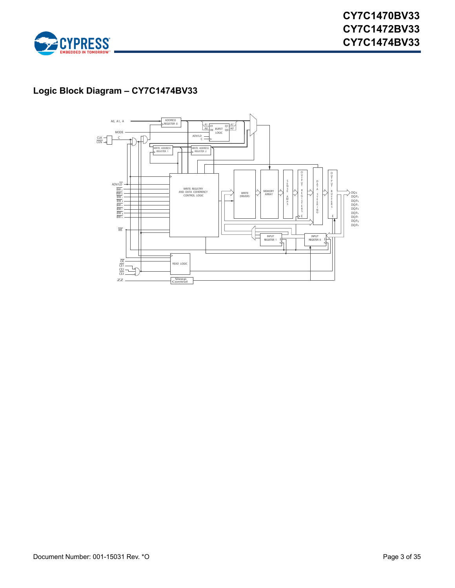

# **Logic Block Diagram – CY7C1474BV33**

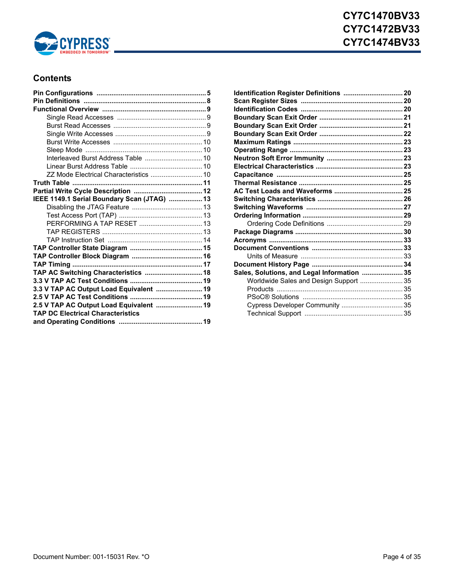

# **Contents**

| Interleaved Burst Address Table  10         |  |
|---------------------------------------------|--|
|                                             |  |
| ZZ Mode Electrical Characteristics  10      |  |
|                                             |  |
|                                             |  |
| IEEE 1149.1 Serial Boundary Scan (JTAG)  13 |  |
|                                             |  |
|                                             |  |
|                                             |  |
|                                             |  |
|                                             |  |
|                                             |  |
|                                             |  |
|                                             |  |
| TAP AC Switching Characteristics  18        |  |
|                                             |  |
| 3.3 V TAP AC Output Load Equivalent  19     |  |
|                                             |  |
| 2.5 V TAP AC Output Load Equivalent  19     |  |
| <b>TAP DC Electrical Characteristics</b>    |  |
|                                             |  |

| Identification Register Definitions  20     |  |
|---------------------------------------------|--|
|                                             |  |
|                                             |  |
|                                             |  |
|                                             |  |
|                                             |  |
|                                             |  |
|                                             |  |
|                                             |  |
|                                             |  |
|                                             |  |
|                                             |  |
|                                             |  |
|                                             |  |
|                                             |  |
|                                             |  |
|                                             |  |
|                                             |  |
|                                             |  |
|                                             |  |
|                                             |  |
|                                             |  |
| Sales, Solutions, and Legal Information  35 |  |
| Worldwide Sales and Design Support  35      |  |
|                                             |  |
|                                             |  |
| Cypress Developer Community  35             |  |
|                                             |  |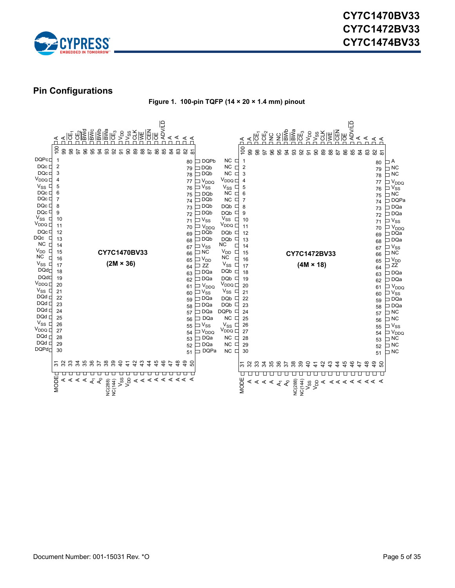

### <span id="page-4-0"></span>**Pin Configurations**

**Figure 1. 100-pin TQFP (14 × 20 × 1.4 mm) pinout**

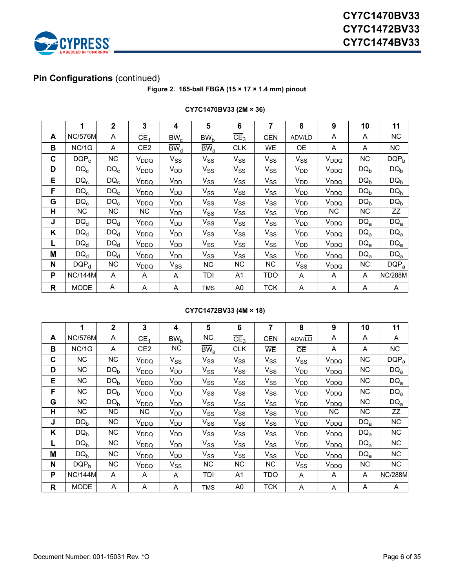

# **Pin Configurations** (continued)

#### **Figure 2. 165-ball FBGA (15 × 17 × 1.4 mm) pinout**

|    | 1                | $\mathbf 2$ | 3                        | 4                          | 5                   | 6                     | 7          | 8                            |                  | 10        | 11              |
|----|------------------|-------------|--------------------------|----------------------------|---------------------|-----------------------|------------|------------------------------|------------------|-----------|-----------------|
| A  | <b>NC/576M</b>   | A           | $\overline{\text{CE}}_1$ | $\overline{BW}_{c}$        | $\overline{BW}_{b}$ | CE <sub>3</sub>       | <b>CEN</b> | ADV/LD                       | A                |           | <b>NC</b>       |
| B  | NC/1G            | Α           | CE <sub>2</sub>          | $\overline{\text{BW}}_{d}$ | $\overline{BW}_{a}$ | <b>CLK</b>            | <b>WE</b>  | $\overline{OE}$              | A                | A         | NC              |
| C  | $DQP_c$          | <b>NC</b>   | $V_{DDQ}$                | $V_{SS}$                   | $V_{SS}$            | $V_{SS}$              | $V_{SS}$   | $V_{SS}$                     | V <sub>DDQ</sub> | <b>NC</b> | $DQP_b$         |
| D  | $DQ_c$           | $DQ_c$      | V <sub>DDQ</sub>         | $V_{DD}$                   | $V_{SS}$            | $V_{SS}$              | $V_{SS}$   | <b>V<sub>DD</sub></b>        | V <sub>DDQ</sub> | $DQ_b$    | $DQ_b$          |
| E. | $DQ_c$           | $DQ_c$      | $V_{DDQ}$                | V <sub>DD</sub>            | $V_{SS}$            | $V_{SS}$              | $V_{SS}$   | $V_{DD}$                     | V <sub>DDQ</sub> | $DQ_b$    | $DQ_b$          |
| F  | $DQ_c$           | $DQ_c$      | $V_{DDQ}$                | V <sub>DD</sub>            | $V_{SS}$            | <b>V<sub>SS</sub></b> | $V_{SS}$   | <b>V<sub>DD</sub></b>        | V <sub>DDQ</sub> |           | $DQ_b$          |
| G  | $DQ_c$           | $DQ_c$      | V <sub>DDQ</sub>         | $V_{DD}$                   | $V_{SS}$            | $V_{SS}$              | $V_{SS}$   | <b>V<sub>DD</sub></b>        | V <sub>DDQ</sub> |           | $DQ_b$          |
| Н  | NC               | <b>NC</b>   | NC.                      | V <sub>DD</sub>            | $V_{SS}$            | $V_{SS}$              | $V_{SS}$   | <b>V<sub>DD</sub></b>        | <b>NC</b>        | NС        | ZZ              |
| J  | $DQ_d$           | $DQ_d$      | $V_{DDQ}$                | $V_{DD}$                   | $V_{SS}$            | $V_{SS}$              | $V_{SS}$   | V <sub>DD</sub>              | V <sub>DDQ</sub> | $DQ_{a}$  | DQ <sub>a</sub> |
| K  | $DQ_d$           | $DQ_d$      | $V_{DDQ}$                | $V_{DD}$                   | $V_{SS}$            | $V_{SS}$              | $V_{SS}$   | $V_{DD}$                     | V <sub>DDQ</sub> | $DQ_{a}$  | $DQ_a$          |
|    | $DQ_d$           | $DQ_d$      | V <sub>DDQ</sub>         | $V_{DD}$                   | $V_{SS}$            | $V_{SS}$              | $V_{SS}$   | <b>V<sub>DD</sub></b>        | V <sub>DDQ</sub> | $DQ_{a}$  | $DQ_a$          |
| M  | $DQ_d$           | $DQ_d$      | V <sub>DDQ</sub>         | $V_{DD}$                   | $V_{SS}$            | $V_{SS}$              | $V_{SS}$   | $V_{DD}$                     | V <sub>DDQ</sub> |           | DQ <sub>a</sub> |
| N  | DQP <sub>d</sub> | <b>NC</b>   | $V_{DDQ}$                | $V_{SS}$                   | NC.                 | <b>NC</b>             | NC.        | $V_{SS}$<br>V <sub>DDQ</sub> |                  | NС        | $DQP_a$         |
| P  | <b>NC/144M</b>   | A           | A                        | A                          | TDI                 | A1                    | <b>TDO</b> | A<br>A                       |                  | A         | <b>NC/288M</b>  |
| R  | <b>MODE</b>      | A           | A                        | A                          | <b>TMS</b>          | A0                    | <b>TCK</b> | A<br>Α                       |                  | A         | A               |

#### **CY7C1470BV33 (2M × 36)**

#### **CY7C1472BV33 (4M × 18)**

|   | 1                | $\overline{2}$ | 3                        | 4                   | 5                          | 6               | 7          | 8               | $\boldsymbol{9}$ | 10        | 11             |
|---|------------------|----------------|--------------------------|---------------------|----------------------------|-----------------|------------|-----------------|------------------|-----------|----------------|
| A | <b>NC/576M</b>   | A              | $\overline{\text{CE}}_1$ | $\overline{BW}_{h}$ | <b>NC</b>                  | CE <sub>3</sub> | <b>CEN</b> | ADV/LD          | A                | A         | A              |
| B | NC/1G            | A              | CE <sub>2</sub>          | <b>NC</b>           | $\overline{BW}_a$          | <b>CLK</b>      | <b>WE</b>  | $\overline{OE}$ | Α                | A         | <b>NC</b>      |
| C | <b>NC</b>        | <b>NC</b>      | $V_{DDQ}$                | $V_{SS}$            | $V_{SS}$                   | $V_{SS}$        | $V_{SS}$   | $V_{SS}$        | V <sub>DDQ</sub> | <b>NC</b> | $DQP_a$        |
| D | <b>NC</b>        | $DQ_{b}$       | V <sub>DDQ</sub>         | V <sub>DD</sub>     | $V_{SS}$                   | $V_{SS}$        | $V_{SS}$   | V <sub>DD</sub> | V <sub>DDQ</sub> | <b>NC</b> | $DQ_{a}$       |
| E | <b>NC</b>        | $DQ_{b}$       | $V_{DDQ}$                | V <sub>DD</sub>     | $V_{SS}$                   | $V_{SS}$        | $V_{SS}$   | V <sub>DD</sub> | V <sub>DDQ</sub> | <b>NC</b> | $DQ_{a}$       |
| F | <b>NC</b>        | $DQ_{b}$       | $V_{DDQ}$                | V <sub>DD</sub>     | $V_{SS}$                   | $V_{SS}$        | $V_{SS}$   | $V_{DD}$        | V <sub>DDQ</sub> | <b>NC</b> | $DQ_a$         |
| G | <b>NC</b>        | $DQ_{b}$       | V <sub>DDQ</sub>         | $V_{DD}$            | $V_{SS}$                   | $V_{SS}$        | $V_{SS}$   | V <sub>DD</sub> | V <sub>DDQ</sub> | <b>NC</b> | $DQ_a$         |
| н | <b>NC</b>        | NC.            | NC.                      | $V_{DD}$            | $\mathsf{V}_{\mathsf{SS}}$ | $V_{SS}$        | $V_{SS}$   | V <sub>DD</sub> | NC.              | ΝC        | ZΖ             |
| J | $DQ_{b}$         | <b>NC</b>      | $V_{DDQ}$                | V <sub>DD</sub>     | $V_{SS}$                   | $V_{SS}$        | $V_{SS}$   | V <sub>DD</sub> | V <sub>DDQ</sub> | $DQ_a$    | <b>NC</b>      |
| Κ | $DQ_b$           | <b>NC</b>      | V <sub>DDQ</sub>         | $V_{DD}$            | $V_{SS}$                   | $V_{SS}$        | $V_{SS}$   | $V_{DD}$        | V <sub>DDQ</sub> | $DQ_a$    | <b>NC</b>      |
|   | $DQ_{b}$         | NC.            | $V_{DDQ}$                | $V_{DD}$            | $V_{SS}$                   | $V_{SS}$        | $V_{SS}$   | $V_{DD}$        | V <sub>DDQ</sub> | $DQ_{a}$  | <b>NC</b>      |
| M | DQ <sub>b</sub>  | <b>NC</b>      | V <sub>DDQ</sub>         | V <sub>DD</sub>     | $V_{SS}$                   | $V_{SS}$        | $V_{SS}$   | V <sub>DD</sub> | V <sub>DDQ</sub> |           | <b>NC</b>      |
| N | DQP <sub>h</sub> | NC.            | V <sub>DDQ</sub>         | $V_{SS}$            | <b>NC</b>                  | NC.             | ΝC         | $V_{SS}$        | V <sub>DDQ</sub> | ΝC        | <b>NC</b>      |
| P | <b>NC/144M</b>   | A              | A                        | A                   | TDI                        | A1              | TDO        | Α               | A                |           | <b>NC/288M</b> |
| R | <b>MODE</b>      | A              | A                        | A                   | <b>TMS</b>                 | A0              | <b>TCK</b> | A               | A                | A         | A              |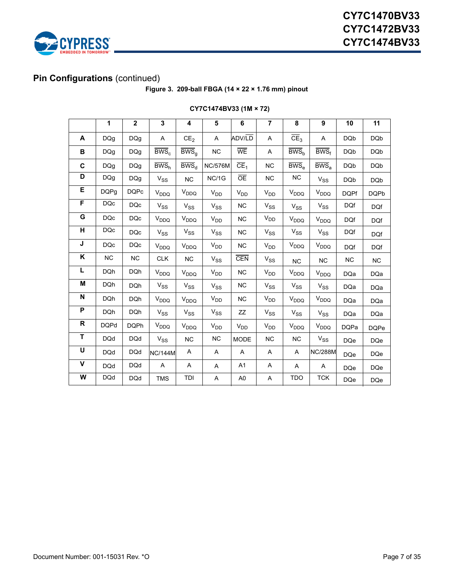

# **Pin Configurations** (continued)

**Figure 3. 209-ball FBGA (14 × 22 × 1.76 mm) pinout**

|              | 1           | $\mathbf 2$ | 3                                   | 4                           | 5               | 6                     | $\overline{7}$                      | 8                      | 9                                   | 10          | 11          |
|--------------|-------------|-------------|-------------------------------------|-----------------------------|-----------------|-----------------------|-------------------------------------|------------------------|-------------------------------------|-------------|-------------|
| A            | <b>DQg</b>  | <b>DQg</b>  | Α                                   | CE <sub>2</sub>             | A               | ADV/LD                | A                                   | CE <sub>3</sub>        | A                                   | <b>DQb</b>  | <b>DQb</b>  |
| B            | <b>DQg</b>  | <b>DQg</b>  | $\overline{\text{BWS}}_{c}$         | $\overline{\mathsf{BWS}}_g$ | <b>NC</b>       | <b>WE</b>             | A                                   | BWS <sub>h</sub>       | $\overline{\mathsf{BWS}}_f$         | <b>DQb</b>  | <b>DQb</b>  |
| C            | <b>DQg</b>  | <b>DQg</b>  | $\overline{\text{BWS}}_{h}$         | $BWS_{d}$                   | <b>NC/576M</b>  | CE <sub>1</sub>       | <b>NC</b>                           | $BWS_{e}$              | $\overline{\text{BWS}}_a$           | <b>DQb</b>  | <b>DQb</b>  |
| D            | <b>DQg</b>  | <b>DQg</b>  | $\ensuremath{\mathsf{V}}_\text{SS}$ | NC                          | NC/1G           | <b>OE</b>             | NC                                  | <b>NC</b>              | $\ensuremath{\mathsf{V}}_\text{SS}$ | <b>DQb</b>  | <b>DQb</b>  |
| Е            | <b>DQPg</b> | <b>DQPc</b> | $V_{DDQ}$                           | $V_{DDQ}$                   | V <sub>DD</sub> | <b>V<sub>DD</sub></b> | V <sub>DD</sub>                     | V <sub>DDQ</sub>       | $V_{DDQ}$                           | <b>DQPf</b> | <b>DQPb</b> |
| F            | <b>DQc</b>  | <b>DQc</b>  | $\mathrm{V}_{\mathrm{SS}}$          | $V_{SS}$                    | $V_{SS}$        | <b>NC</b>             | $V_{SS}$                            | $V_{SS}$               | $\ensuremath{\mathsf{V}}_\text{SS}$ | <b>DQf</b>  | <b>DQf</b>  |
| G            | <b>DQc</b>  | <b>DQc</b>  | $V_{DDQ}$                           | $V_{DDQ}$                   | V <sub>DD</sub> | <b>NC</b>             | $V_{DD}$                            | $V_{DDQ}$              | V <sub>DDQ</sub>                    | <b>DQf</b>  | <b>DQf</b>  |
| н            | <b>DQc</b>  | <b>DQc</b>  | $V_{SS}$                            | $V_{SS}$                    | $V_{SS}$        | NC                    | $V_{SS}$                            | $V_{SS}$               | $V_{SS}$                            |             | <b>DQf</b>  |
| J            | <b>DQc</b>  | <b>DQc</b>  | V <sub>DDQ</sub>                    | $V_{DDQ}$                   | V <sub>DD</sub> | NC                    | V <sub>DD</sub>                     | $V_{DDQ}$<br>$V_{DDQ}$ |                                     | <b>DQf</b>  | <b>DQf</b>  |
| Κ            | <b>NC</b>   | NC          | <b>CLK</b>                          | NC                          | $V_{SS}$        | <b>CEN</b>            | $V_{SS}$                            | <b>NC</b>              | NC                                  | NC          | NC          |
| L            | <b>DQh</b>  | DQh         | V <sub>DDQ</sub>                    | $V_{DDQ}$                   | $V_{DD}$        | NC                    | $V_{DD}$                            | $V_{DDQ}$              | $V_{DDQ}$                           | <b>DQa</b>  | <b>DQa</b>  |
| M            | <b>DQh</b>  | <b>DQh</b>  | $\mathsf{V}_{\mathsf{SS}}$          | $V_{SS}$                    | $V_{SS}$        | <b>NC</b>             | $\ensuremath{\mathsf{V}}_\text{SS}$ | $V_{SS}$               | $V_{SS}$                            | <b>DQa</b>  | <b>DQa</b>  |
| N            | <b>DQh</b>  | <b>DQh</b>  | V <sub>DDQ</sub>                    | $V_{DDQ}$                   | $V_{DD}$        | <b>NC</b>             | $V_{DD}$                            | V <sub>DDQ</sub>       | $V_{DDQ}$                           | <b>DQa</b>  | <b>DQa</b>  |
| P            | <b>DQh</b>  | <b>DQh</b>  | $V_{SS}$                            | $\mathrm{V}_{\mathrm{SS}}$  | $V_{SS}$        | <b>ZZ</b>             | $V_{SS}$                            | $V_{SS}$               | $V_{SS}$                            | <b>DQa</b>  | <b>DQa</b>  |
| $\mathsf{R}$ | <b>DQPd</b> | <b>DQPh</b> | V <sub>DDQ</sub>                    | V <sub>DDQ</sub>            | V <sub>DD</sub> | <b>V<sub>DD</sub></b> | $V_{DD}$                            | $V_{DDQ}$              | $V_{DDQ}$                           |             | <b>DQPe</b> |
| T            | <b>DQd</b>  | <b>DQd</b>  | $V_{SS}$                            | <b>NC</b>                   | <b>NC</b>       | <b>MODE</b>           | <b>NC</b>                           | $V_{SS}$<br>NC.        |                                     | <b>DQe</b>  | <b>DQe</b>  |
| U            | <b>DQd</b>  | <b>DQd</b>  | <b>NC/144M</b>                      | A                           | A               | A                     | A                                   | A                      | <b>NC/288M</b>                      |             | <b>DQe</b>  |
| V            | <b>DQd</b>  | <b>DQd</b>  | A                                   | A                           | A               | A <sub>1</sub>        | Α                                   | A                      | A                                   | <b>DQe</b>  | <b>DQe</b>  |
| W            | <b>DQd</b>  | <b>DQd</b>  | <b>TMS</b>                          | TDI                         | Α               | A <sub>0</sub>        | Α                                   | TDO                    | <b>TCK</b>                          | <b>DQe</b>  | <b>DQe</b>  |

#### **CY7C1474BV33 (1M × 72)**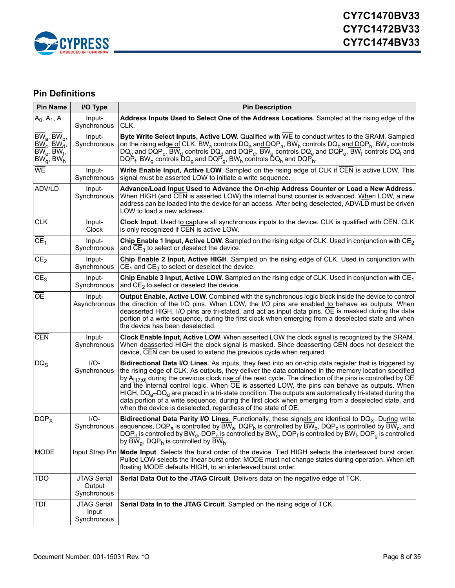

# <span id="page-7-0"></span>**Pin Definitions**

| <b>Pin Name</b>                                                                 | I/O Type                                    | <b>Pin Description</b>                                                                                                                                                                                                                                                                                                                                                                                                                                                                                                                                                                                                                                                                                                              |
|---------------------------------------------------------------------------------|---------------------------------------------|-------------------------------------------------------------------------------------------------------------------------------------------------------------------------------------------------------------------------------------------------------------------------------------------------------------------------------------------------------------------------------------------------------------------------------------------------------------------------------------------------------------------------------------------------------------------------------------------------------------------------------------------------------------------------------------------------------------------------------------|
| $A_0$ , $A_1$ , A                                                               | Input-<br>Synchronous                       | Address Inputs Used to Select One of the Address Locations. Sampled at the rising edge of the<br>CLK.                                                                                                                                                                                                                                                                                                                                                                                                                                                                                                                                                                                                                               |
| $BW_a$ , $BW_b$ ,<br>$BW_c$ , $BW_d$ ,<br>$BW_e$ , $BW_f$ ,<br>$BW_g$ , B $W_h$ | Input-<br>Synchronous                       | Byte Write Select Inputs, Active LOW. Qualified with WE to conduct writes to the SRAM. Sampled<br>on the rising edge of CLK. $\overline{BW}_a$ controls $DQ_a$ and $DQP_a$ , $\overline{BW}_b$ controls $DQ_b$ and $DQP_b$ , $\overline{BW}_c$ controls<br>DQ <sub>c</sub> and DQP <sub>c</sub> , BW <sub>d</sub> controls DQ <sub>d</sub> and DQP <sub>d</sub> , BW <sub>e</sub> controls DQ <sub>e</sub> and DQP <sub>e</sub> , BW <sub>f</sub> controls DQ <sub>f</sub> and<br>DQP <sub>f</sub> , $\overline{BW}_{q}$ controls $\overline{DQ}_{q}$ and DQP <sub>g</sub> , $\overline{BW}_{h}$ controls DQ <sub>h</sub> and DQP <sub>h</sub> .                                                                                    |
| WE                                                                              | Input-<br>Synchronous                       | Write Enable Input, Active LOW. Sampled on the rising edge of CLK if CEN is active LOW. This<br>signal must be asserted LOW to initiate a write sequence.                                                                                                                                                                                                                                                                                                                                                                                                                                                                                                                                                                           |
| ADV/LD                                                                          | Input-<br>Synchronous                       | Advance/Load Input Used to Advance the On-chip Address Counter or Load a New Address.<br>When HIGH (and CEN is asserted LOW) the internal burst counter is advanced. When LOW, a new<br>address can be loaded into the device for an access. After being deselected, ADV/LD must be driven<br>LOW to load a new address.                                                                                                                                                                                                                                                                                                                                                                                                            |
| <b>CLK</b>                                                                      | Input-<br>Clock                             | Clock Input. Used to capture all synchronous inputs to the device. CLK is qualified with CEN. CLK<br>is only recognized if CEN is active LOW.                                                                                                                                                                                                                                                                                                                                                                                                                                                                                                                                                                                       |
| CE <sub>1</sub>                                                                 | Input-<br>Synchronous                       | Chip Enable 1 Input, Active LOW. Sampled on the rising edge of CLK. Used in conjunction with $CE_2$<br>and $CE_3$ to select or deselect the device.                                                                                                                                                                                                                                                                                                                                                                                                                                                                                                                                                                                 |
| CE <sub>2</sub>                                                                 | Input-<br>Synchronous                       | Chip Enable 2 Input, Active HIGH. Sampled on the rising edge of CLK. Used in conjunction with<br>$CE1$ and $CE3$ to select or deselect the device.                                                                                                                                                                                                                                                                                                                                                                                                                                                                                                                                                                                  |
| CE <sub>3</sub>                                                                 | Input-<br>Synchronous                       | Chip Enable 3 Input, Active LOW. Sampled on the rising edge of CLK. Used in conjunction with $CE_1$<br>and $CE_2$ to select or deselect the device.                                                                                                                                                                                                                                                                                                                                                                                                                                                                                                                                                                                 |
| OE                                                                              | Input-<br>Asynchronous                      | Output Enable, Active LOW. Combined with the synchronous logic block inside the device to control<br>the direction of the I/O pins. When LOW, the I/O pins are enabled to behave as outputs. When<br>deasserted HIGH, I/O pins are tri-stated, and act as input data pins. OE is masked during the data<br>portion of a write sequence, during the first clock when emerging from a deselected state and when<br>the device has been deselected.                                                                                                                                                                                                                                                                                    |
| <b>CEN</b>                                                                      | Input-<br>Synchronous                       | <b>Clock Enable Input, Active LOW.</b> When asserted LOW the clock signal is recognized by the SRAM.<br>When deasserted HIGH the clock signal is masked. Since deasserting CEN does not deselect the<br>device, CEN can be used to extend the previous cycle when required.                                                                                                                                                                                                                                                                                                                                                                                                                                                         |
| $DQ_S$                                                                          | $I/O-$<br>Synchronous                       | Bidirectional Data I/O Lines. As inputs, they feed into an on-chip data register that is triggered by<br>the rising edge of CLK. As outputs, they deliver the data contained in the memory location specified<br>by $A_{[17:0]}$ during the previous clock rise of the read cycle. The direction of the pins is controlled by OE<br>and the internal control logic. When OE is asserted LOW, the pins can behave as outputs. When<br>HIGH, $DQ_a$ -DQ <sub>d</sub> are placed in a tri-state condition. The outputs are automatically tri-stated during the<br>data portion of a write sequence, during the first clock when emerging from a deselected state, and<br>when the device is deselected, regardless of the state of OE. |
| $DQP_X$                                                                         | $I/O-$<br>Synchronous                       | <b>Bidirectional Data Parity I/O Lines.</b> Functionally, these signals are identical to $DQ_X$ . During write<br>sequences, DQP <sub>a</sub> is controlled by BW <sub>a</sub> , DQP <sub>b</sub> is controlled by BW <sub>b</sub> , DQP <sub>c</sub> is controlled by BW <sub>c</sub> , and<br>$DQP_d$ is controlled by BW <sub>d</sub> , DQP <sub>e</sub> is controlled by BW <sub>e</sub> , DQP <sub>f</sub> is controlled by BW <sub>f</sub> , DQP <sub>a</sub> is controlled<br>by BW <sub>a</sub> , DQP <sub>h</sub> is controlled by BW <sub>h</sub> .                                                                                                                                                                       |
| <b>MODE</b>                                                                     |                                             | Input Strap Pin Mode Input. Selects the burst order of the device. Tied HIGH selects the interleaved burst order.<br>Pulled LOW selects the linear burst order. MODE must not change states during operation. When left<br>floating MODE defaults HIGH, to an interleaved burst order.                                                                                                                                                                                                                                                                                                                                                                                                                                              |
| TDO                                                                             | <b>JTAG Serial</b><br>Output<br>Synchronous | Serial Data Out to the JTAG Circuit. Delivers data on the negative edge of TCK.                                                                                                                                                                                                                                                                                                                                                                                                                                                                                                                                                                                                                                                     |
| TDI                                                                             | <b>JTAG Serial</b><br>Input<br>Synchronous  | Serial Data In to the JTAG Circuit. Sampled on the rising edge of TCK.                                                                                                                                                                                                                                                                                                                                                                                                                                                                                                                                                                                                                                                              |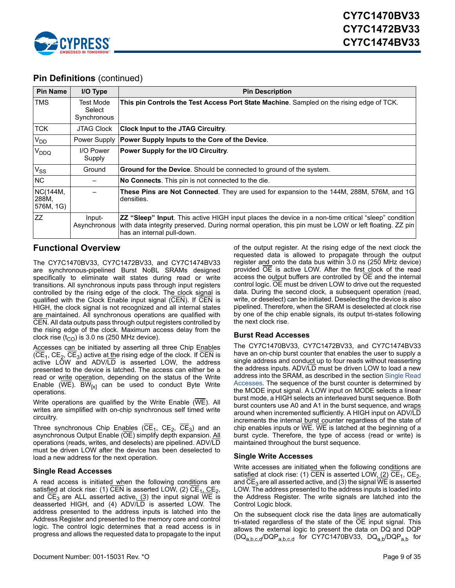

# **Pin Definitions** (continued)

| <b>Pin Name</b>                | I/O Type                           | <b>Pin Description</b>                                                                                                                                                                                                                             |
|--------------------------------|------------------------------------|----------------------------------------------------------------------------------------------------------------------------------------------------------------------------------------------------------------------------------------------------|
| <b>TMS</b>                     | Test Mode<br>Select<br>Synchronous | This pin Controls the Test Access Port State Machine. Sampled on the rising edge of TCK.                                                                                                                                                           |
| <b>TCK</b>                     | <b>JTAG Clock</b>                  | <b>Clock Input to the JTAG Circuitry.</b>                                                                                                                                                                                                          |
| V <sub>DD</sub>                | Power Supply                       | Power Supply Inputs to the Core of the Device.                                                                                                                                                                                                     |
| V <sub>DDQ</sub>               | I/O Power<br>Supply                | Power Supply for the I/O Circuitry.                                                                                                                                                                                                                |
| V <sub>SS</sub>                | Ground                             | <b>Ground for the Device.</b> Should be connected to ground of the system.                                                                                                                                                                         |
| <b>NC</b>                      |                                    | No Connects. This pin is not connected to the die.                                                                                                                                                                                                 |
| NC(144M,<br>288M,<br>576M, 1G) |                                    | These Pins are Not Connected. They are used for expansion to the 144M, 288M, 576M, and 1G<br>densities.                                                                                                                                            |
| <b>ZZ</b>                      | Input-<br>Asynchronous             | <b>ZZ "Sleep" Input</b> . This active HIGH input places the device in a non-time critical "sleep" condition<br>with data integrity preserved. During normal operation, this pin must be LOW or left floating. ZZ pin<br>has an internal pull-down. |

#### <span id="page-8-0"></span>**Functional Overview**

The CY7C1470BV33, CY7C1472BV33, and CY7C1474BV33 are synchronous-pipelined Burst NoBL SRAMs designed specifically to eliminate wait states during read or write transitions. All synchronous inputs pass through input registers controlled by the rising edge of the clock. The clock signal is qualified with the Clock Enable input signal (CEN). If CEN is HIGH, the clock signal is not recognized and all internal states are maintained. All synchronous operations are qualified with CEN. All data outputs pass through output registers controlled by the rising edge of the clock. Maximum access delay from the clock rise ( $t_{CO}$ ) is 3.0 ns (250 MHz device).

Accesses can be initiated by asserting all three Chip Enables  $(CE<sub>1</sub>, CE<sub>2</sub>, CE<sub>3</sub>)$  active at the rising edge of the clock. If CEN is active LOW and ADV/LD is asserted LOW, the address presented to the device is latched. The access can either be a read or write operation, depending on the status of the Write Enable ( $\overline{WE}$ ).  $\overline{BW}_{[x]}$  can be used to conduct Byte Write operations.

Write operations are qualified by the Write Enable  $(\overline{\text{WE}})$ . All writes are simplified with on-chip synchronous self timed write circuitry.

Three synchronous Chip Enables ( $\overline{CE}_1$ ,  $\overline{CE}_2$ ,  $\overline{CE}_3$ ) and an asynchronous Output Enable (OE) simplify depth expansion. All operations (reads, writes, and deselects) are pipelined. ADV/LD must be driven LOW after the device has been deselected to load a new address for the next operation.

#### <span id="page-8-1"></span>**Single Read Accesses**

A read access is initiated when the following conditions are satisfied at clock rise: (1) CEN is asserted LOW, (2)  $CE_1$ ,  $CE_2$ , and CE<sub>3</sub> are ALL asserted active,  $(3)$  the input signal WE is deasserted HIGH, and (4) ADV/LD is asserted LOW. The address presented to the address inputs is latched into the Address Register and presented to the memory core and control logic. The control logic determines that a read access is in progress and allows the requested data to propagate to the input of the output register. At the rising edge of the next clock the requested data is allowed to propagate through the output register and onto the data bus within 3.0 ns (250 MHz device) provided OE is active LOW. After the first clock of the read access the output buffers are controlled by OE and the internal control logic. OE must be driven LOW to drive out the requested data. During the second clock, a subsequent operation (read, write, or deselect) can be initiated. Deselecting the device is also pipelined. Therefore, when the SRAM is deselected at clock rise by one of the chip enable signals, its output tri-states following the next clock rise.

#### <span id="page-8-2"></span>**Burst Read Accesses**

The CY7C1470BV33, CY7C1472BV33, and CY7C1474BV33 have an on-chip burst counter that enables the user to supply a single address and conduct up to four reads without reasserting the address inputs. ADV/LD must be driven LOW to load a new address into the SRAM, as described in the section [Single Read](#page-8-1) [Accesses](#page-8-1). The sequence of the burst counter is determined by the MODE input signal. A LOW input on MODE selects a linear burst mode, a HIGH selects an interleaved burst sequence. Both burst counters use A0 and A1 in the burst sequence, and wraps around when incremented sufficiently. A HIGH input on ADV/LD increments the internal burst counter regardless of the state of chip enables inputs or  $\overline{\text{WE}}$ . WE is latched at the beginning of a burst cycle. Therefore, the type of access (read or write) is maintained throughout the burst sequence.

#### <span id="page-8-3"></span>**Single Write Accesses**

Write accesses are initiated when the following conditions are satisfied at clock rise: (1)  $\overline{\text{CEN}}$  is asserted LOW, (2)  $\text{CE}_1$ ,  $\text{CE}_2$ , and  $CE_3$  are all asserted active, and (3) the signal WE is asserted LOW. The address presented to the address inputs is loaded into the Address Register. The write signals are latched into the Control Logic block.

On the subsequent clock rise the data lines are automatically tri-stated regardless of the state of the OE input signal. This allows the external logic to present the data on DQ and DQP  $(DQ_{a,b,c,d}/DQP_{a,b,c,d}$  for CY7C1470BV33,  $DQ_{a,b}/DQP_{a,b}$  for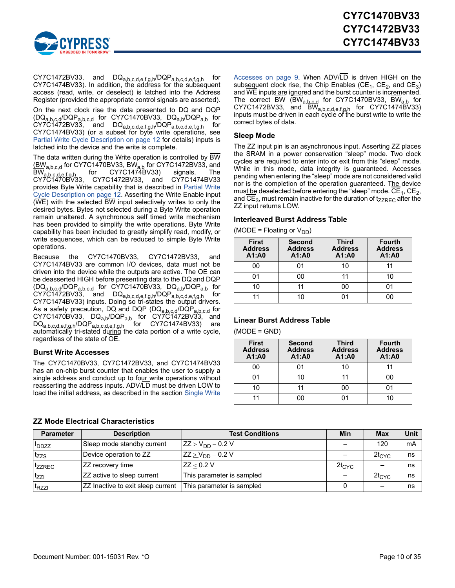

CY7C1472BV33, and DQ<sub>a,b,c,d,e,f,g,h</sub>/DQP<sub>a,b,c,d,e,f,g,h</sub> for CY7C1474BV33). In addition, the address for the subsequent access (read, write, or deselect) is latched into the Address Register (provided the appropriate control signals are asserted).

On the next clock rise the data presented to DQ and DQP (DQ<sub>a,b,c,d</sub>/DQP<sub>a,b,c,d</sub> for CY7C1470BV33, DQ<sub>a,b</sub>/DQP<sub>a,b</sub> for  $\mathsf{CY7C1472BV33},$  and  $\mathsf{DQ}_{\mathsf{a},\mathsf{b},\mathsf{c},\mathsf{d},\mathsf{e},\mathsf{f},\mathsf{g},\mathsf{h}}/\mathsf{DQP}_{\mathsf{a},\mathsf{b},\mathsf{c},\mathsf{d},\mathsf{e},\mathsf{f},\mathsf{g},\mathsf{h}}$  for CY7C1474BV33) (or a subset for byte write operations, see [Partial Write Cycle Description on page 12](#page-11-0) for details) inputs is latched into the device and the write is complete.

The data written during the Write operation is controlled by BW (BWa,b,c,d for CY7C1470BV33, BWa,b for CY7C1472BV33, and  $\mathsf{BW}_{\mathsf{a},\mathsf{b},\mathsf{c},\mathsf{d},\mathsf{e},\mathsf{f},\mathsf{g},\mathsf{h}}$  for CY7C1474BV33) signals. The CY7C1470BV33, CY7C1472BV33, and CY7C1474BV33 provides Byte Write capability that is described in [Partial Write](#page-11-0) [Cycle Description on page 12.](#page-11-0) Asserting the Write Enable input (WE) with the selected BW input selectively writes to only the desired bytes. Bytes not selected during a Byte Write operation remain unaltered. A synchronous self timed write mechanism has been provided to simplify the write operations. Byte Write capability has been included to greatly simplify read, modify, or write sequences, which can be reduced to simple Byte Write operations.

Because the CY7C1470BV33, CY7C1472BV33, and CY7C1474BV33 are common I/O devices, data must not be driven into the device while the outputs are active. The OE can be deasserted HIGH before presenting data to the DQ and DQP  $(DQ_{a,b,c,d}/DQP_{a,b,c,d}$  for CY7C1470BV33, DQ<sub>a,b</sub>/DQP<sub>a,b</sub> for  $\mathsf{CY7C1472BV33},$  and  $\mathsf{DQ}_{\mathsf{a},\mathsf{b},\mathsf{c},\mathsf{d},\mathsf{e},\mathsf{f},\mathsf{g},\mathsf{h}}/\mathsf{DQP}_{\mathsf{a},\mathsf{b},\mathsf{c},\mathsf{d},\mathsf{e},\mathsf{f},\mathsf{g},\mathsf{h}}$  for CY7C1474BV33) inputs. Doing so tri-states the output drivers. As a safety precaution, DQ and DQP (DQ<sub>a,b,c,d</sub>/DQP<sub>a,b,c,d</sub> for CY7C1470BV33, DQ<sub>a,b</sub>/DQP<sub>a,b</sub> for CY7C1472BV33, and  $\mathsf{DQ}_{\mathsf{a},\mathsf{b},\mathsf{c},\mathsf{d},\mathsf{e},\mathsf{f},\mathsf{g},\mathsf{h}}/\mathsf{DQP}_{\mathsf{a},\mathsf{b},\mathsf{c},\mathsf{d},\mathsf{e},\mathsf{f},\mathsf{g},\mathsf{h}}$  for CY7C1474BV33) are automatically tri-stated during the data portion of a write cycle, regardless of the state of OE.

#### <span id="page-9-0"></span>**Burst Write Accesses**

The CY7C1470BV33, CY7C1472BV33, and CY7C1474BV33 has an on-chip burst counter that enables the user to supply a single address and conduct up to four write operations without reasserting the address inputs. ADV/LD must be driven LOW to load the initial address, as described in the section [Single Write](#page-8-3)

[Accesses on page 9](#page-8-3). When ADV/LD is driven HIGH on the subsequent clock rise, the Chip Enables (CE<sub>1</sub>, CE<sub>2</sub>, and CE<sub>3</sub>) and WE inputs are ignored and the burst counter is incremented. The correct BW (BW<sub>a,b,c,d</sub> for CY7C1470BV33, BW<sub>a,b</sub> for  $\textsf{CY7C1472BV33},$  and  $\textsf{BW}_{\textsf{a,b,c,d,e,f,g,h}}$  for  $\textsf{CY7C1474\dot{B}V33})$ inputs must be driven in each cycle of the burst write to write the correct bytes of data.

#### <span id="page-9-1"></span>**Sleep Mode**

The ZZ input pin is an asynchronous input. Asserting ZZ places the SRAM in a power conservation "sleep" mode. Two clock cycles are required to enter into or exit from this "sleep" mode. While in this mode, data integrity is guaranteed. Accesses pending when entering the "sleep" mode are not considered valid nor is the completion of the operation guaranteed. The device must be deselected before entering the "sleep" mode.  $\overline{\text{CE}}_1$ ,  $\text{CE}_2$ , and  $CE_3$ , must remain inactive for the duration of t $_{ZZREC}$  after the ZZ input returns LOW.

#### <span id="page-9-2"></span>**Interleaved Burst Address Table**

(MODE = Floating or  $V_{DD}$ )

| <b>First</b><br><b>Address</b><br>A1:A0 | <b>Second</b><br><b>Address</b><br>A1:A0 | <b>Third</b><br><b>Address</b><br>A1:A0 | <b>Fourth</b><br><b>Address</b><br>A1:A0 |
|-----------------------------------------|------------------------------------------|-----------------------------------------|------------------------------------------|
| იი                                      |                                          | 10                                      |                                          |
| 01                                      | იი                                       | 11                                      | 10                                       |
| 10                                      |                                          | 00                                      |                                          |
|                                         | 10                                       |                                         |                                          |

#### <span id="page-9-3"></span>**Linear Burst Address Table**

(MODE = GND)

| <b>First</b><br><b>Address</b><br>A1:A0 | <b>Second</b><br><b>Address</b><br>A1:A0 | <b>Third</b><br><b>Address</b><br>A1:A0 | <b>Fourth</b><br><b>Address</b><br>A1:A0 |
|-----------------------------------------|------------------------------------------|-----------------------------------------|------------------------------------------|
| ΩO                                      | 01                                       | 10                                      |                                          |
|                                         | 10                                       | 11                                      | oc                                       |
| 10                                      | 11                                       | იი                                      |                                          |
|                                         | ግ()                                      |                                         |                                          |

| <b>Parameter</b>   | <b>Description</b>                | <b>Test Conditions</b>    | Min        | <b>Max</b> | <b>Unit</b> |
|--------------------|-----------------------------------|---------------------------|------------|------------|-------------|
| <b>I</b> DDZZ      | Sleep mode standby current        | $ZZ \ge V_{DD} - 0.2 V$   |            | 120        | mA          |
| <sup>t</sup> zzs   | Device operation to ZZ            | $ZZ \geq V_{DD} - 0.2 V$  |            | $2t_{CYC}$ | ns          |
| <sup>t</sup> zzrec | ZZ recovery time                  | ZZ < 0.2 V                | $2t_{CYC}$ |            | ns          |
| tzzi               | ZZ active to sleep current        | This parameter is sampled |            | $2t_{CYC}$ | ns          |
| <sup>L</sup> RZZI  | ZZ Inactive to exit sleep current | This parameter is sampled |            |            | ns          |

#### <span id="page-9-4"></span>**ZZ Mode Electrical Characteristics**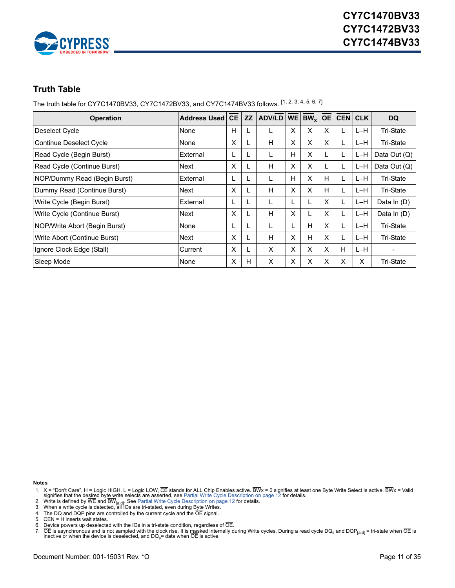

# <span id="page-10-0"></span>**Truth Table**

The truth table for CY7C1470BV33, CY7C1472BV33, and CY7C1474BV33 follows. [\[1](#page-10-1), [2](#page-10-2), [3](#page-10-3), [4](#page-10-4), [5](#page-10-5), [6](#page-10-6), [7](#page-10-7)]

| <b>Operation</b>               | <b>Address Used</b> | <b>CE</b> | <b>ZZ</b> | ADV/LD   WE |   | $\overline{\mathsf{BW}}_{\mathsf{x}}$ $\overline{\mathsf{OE}}$ |   | <b>CEN</b> | <b>CLK</b> | <b>DQ</b>                |
|--------------------------------|---------------------|-----------|-----------|-------------|---|----------------------------------------------------------------|---|------------|------------|--------------------------|
| Deselect Cycle                 | None                | H         | L         | L           | x | X                                                              | X |            | L-H        | Tri-State                |
| <b>Continue Deselect Cycle</b> | None                | X         |           | H           | X | X                                                              | x |            | $L-H$      | Tri-State                |
| Read Cycle (Begin Burst)       | External            | L         | L         | L           | H | X                                                              | L |            | L-H        | Data Out (Q)             |
| Read Cycle (Continue Burst)    | Next                | X         | L         | н           | X | X                                                              |   |            | L-H        | Data Out (Q)             |
| NOP/Dummy Read (Begin Burst)   | External            | L         | L         | L           | н | X                                                              | Н |            | L-H        | Tri-State                |
| Dummy Read (Continue Burst)    | Next                | X         | L         | H           | X | X                                                              | H |            | $L-H$      | Tri-State                |
| Write Cycle (Begin Burst)      | External            | L         |           | L           |   |                                                                | x |            | L-H        | Data In (D)              |
| Write Cycle (Continue Burst)   | Next                | X         | L         | H           | X |                                                                | X |            | $L-H$      | Data In (D)              |
| NOP/Write Abort (Begin Burst)  | None                | L         | L         | L           |   | н                                                              | X |            | L-H.       | Tri-State                |
| Write Abort (Continue Burst)   | Next                | X         |           | H           | X | H                                                              | X |            | $L-H$      | <b>Tri-State</b>         |
| Ignore Clock Edge (Stall)      | Current             | X         | L         | X           | X | X                                                              | X | H          | $L-H$      | $\overline{\phantom{0}}$ |
| Sleep Mode                     | None                | X         | H         | X           | X | X                                                              | Х | X          | X          | Tri-State                |

**Notes**

- <span id="page-10-1"></span>1. X = "Don't Care", H = Logic HIGH, L = Logic LOW, CE stands for ALL Chip Enables active. BWx = 0 signifies at least one Byte Write Select is active, BWx = Valid<br>signifies that the desired byte write selects are asserted,
- <span id="page-10-2"></span>2. Write is defined by WE and BW<sub>[a:d]</sub>. See [Partial Write Cycle Description on page 12](#page-11-0) f<mark>or details.</mark><br>3. When a write cycle is detected, all IOs are tri-stated, even during Byte Writes.
- <span id="page-10-3"></span>
- <span id="page-10-4"></span>4. The DQ and DQP pins are controlled by the current cycle and the OE signal.
- <span id="page-10-5"></span>5. CEN = H inserts wait states.
- <span id="page-10-6"></span>
- <span id="page-10-7"></span>6. Device powers up deselected with the IOs in a tri-state condition, regardless of  $\overline{OE}$ .<br>7.  $\overline{OE}$  is asynchronous and is not sampled with the clock rise. It is masked internally d 7. OE is asynchronous and is not sampled with the clock rise. It is <u>ma</u>sked internally during Write cycles. During a read cycle DQ<sub>s</sub> and DQP<sub>[a:d]</sub> = tri-state when OE is<br>inactive or when the device is deselected, and D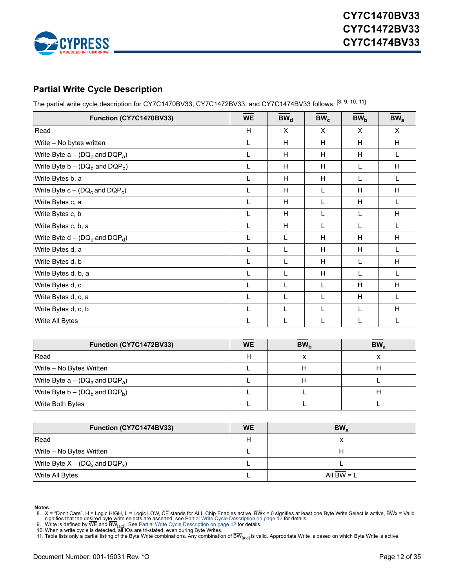

# <span id="page-11-0"></span>**Partial Write Cycle Description**

The partial write cycle description for CY7C1470BV33, CY7C1472BV33, and CY7C1474BV33 follows. [\[8](#page-11-1), [9](#page-11-2), [10](#page-11-3), [11\]](#page-11-4)

| Function (CY7C1470BV33)               | <b>WE</b> | BW <sub>d</sub> | $BW_c$ | BW <sub>b</sub> | BW <sub>a</sub> |
|---------------------------------------|-----------|-----------------|--------|-----------------|-----------------|
| Read                                  | H         | X               | X      | X               | X               |
| Write - No bytes written              | L         | H               | H      | H               | H               |
| Write Byte $a - (DQ_a)$ and $DQP_a$ ) | L         | H               | H      | H               |                 |
| Write Byte $b - (DQ_h$ and $DQP_h$ )  | L         | H               | H      |                 | H               |
| Write Bytes b, a                      | L         | H               | H      | L               |                 |
| Write Byte $c - (DQ_c)$ and $DQP_c$ ) | L         | H               | L      | H               | H               |
| Write Bytes c, a                      |           | H               | L      | H               |                 |
| Write Bytes c, b                      |           | H               | L      | L               | H               |
| Write Bytes c, b, a                   | L         | H               | L      |                 |                 |
| Write Byte $d - (DQ_d$ and $DQP_d$ )  | L         | L               | Н      | H               | H               |
| Write Bytes d, a                      | L         | L               | H      | H               | L               |
| Write Bytes d, b                      | L         | L               | H      | L               | H               |
| Write Bytes d, b, a                   | L         | L               | H      | L               |                 |
| Write Bytes d, c                      | L         | L               | Г      | H               | H               |
| Write Bytes d, c, a                   | L         | L               | L      | H               |                 |
| Write Bytes d, c, b                   | L         | L               | L      | L               | H               |
| Write All Bytes                       | L         | L               | L      | L               |                 |

| Function (CY7C1472BV33)               | <b>WE</b> | BW <sub>h</sub> | BW <sub>a</sub> |
|---------------------------------------|-----------|-----------------|-----------------|
| Read                                  |           |                 |                 |
| Write – No Bytes Written              |           |                 |                 |
| Write Byte $a - (DQ_a)$ and $DQP_a$ ) |           |                 |                 |
| Write Byte $b - (DQ_h$ and $DQP_h$ )  |           |                 |                 |
| Write Both Bytes                      |           |                 |                 |

| Function (CY7C1474BV33)               | <b>WE</b> | BW <sub>v</sub> |
|---------------------------------------|-----------|-----------------|
| Read                                  | Н         |                 |
| Write – No Bytes Written              |           |                 |
| Write Byte $X - (DQ_x)$ and $DQP_x$ ) |           |                 |
| Write All Bytes                       |           | All BW $= L$    |

**Notes**

<span id="page-11-2"></span>9. Write is defined by WE and BW<sub>[a:d]</sub>. See [Partial Write Cycle Description on page 12](#page-11-0) for details.<br>10. When a write cycle is detected, all IOs are tri-stated, even during Byte Writes.

<span id="page-11-1"></span><sup>8.</sup> X = "Don't Care", H = Logic HIGH, L = Logic LOW, CE stands for ALL Chip Enables active. BWx = 0 signifies at least one Byte Write Select is active, BWx = Valid<br>signifies that the desired byte write selects are asserted,

<span id="page-11-4"></span><span id="page-11-3"></span><sup>11.</sup> Table lists only a partial listing of the Byte Write combinations. Any combination of  $\overline{\rm BW}_{[a:d]}$  is valid. Appropriate Write is based on which Byte Write is active.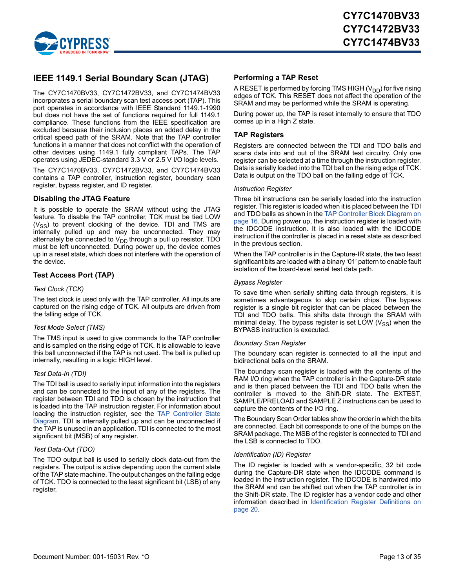

### <span id="page-12-0"></span>**IEEE 1149.1 Serial Boundary Scan (JTAG)**

The CY7C1470BV33, CY7C1472BV33, and CY7C1474BV33 incorporates a serial boundary scan test access port (TAP). This port operates in accordance with IEEE Standard 1149.1-1990 but does not have the set of functions required for full 1149.1 compliance. These functions from the IEEE specification are excluded because their inclusion places an added delay in the critical speed path of the SRAM. Note that the TAP controller functions in a manner that does not conflict with the operation of other devices using 1149.1 fully compliant TAPs. The TAP operates using JEDEC-standard 3.3 V or 2.5 V I/O logic levels.

The CY7C1470BV33, CY7C1472BV33, and CY7C1474BV33 contains a TAP controller, instruction register, boundary scan register, bypass register, and ID register.

#### <span id="page-12-1"></span>**Disabling the JTAG Feature**

It is possible to operate the SRAM without using the JTAG feature. To disable the TAP controller, TCK must be tied LOW  $(V_{SS})$  to prevent clocking of the device. TDI and TMS are internally pulled up and may be unconnected. They may alternately be connected to V<sub>DD</sub> through a pull up resistor. TDO must be left unconnected. During power up, the device comes up in a reset state, which does not interfere with the operation of the device.

#### <span id="page-12-2"></span>**Test Access Port (TAP)**

#### *Test Clock (TCK)*

The test clock is used only with the TAP controller. All inputs are captured on the rising edge of TCK. All outputs are driven from the falling edge of TCK.

#### *Test Mode Select (TMS)*

The TMS input is used to give commands to the TAP controller and is sampled on the rising edge of TCK. It is allowable to leave this ball unconnected if the TAP is not used. The ball is pulled up internally, resulting in a logic HIGH level.

#### *Test Data-In (TDI)*

The TDI ball is used to serially input information into the registers and can be connected to the input of any of the registers. The register between TDI and TDO is chosen by the instruction that is loaded into the TAP instruction register. For information about loading the instruction register, see the [TAP Controller State](#page-14-0) [Diagram.](#page-14-0) TDI is internally pulled up and can be unconnected if the TAP is unused in an application. TDI is connected to the most significant bit (MSB) of any register.

#### *Test Data-Out (TDO)*

The TDO output ball is used to serially clock data-out from the registers. The output is active depending upon the current state of the TAP state machine. The output changes on the falling edge of TCK. TDO is connected to the least significant bit (LSB) of any register.

#### <span id="page-12-3"></span>**Performing a TAP Reset**

A RESET is performed by forcing TMS HIGH  $(V_{DD})$  for five rising edges of TCK. This RESET does not affect the operation of the SRAM and may be performed while the SRAM is operating.

During power up, the TAP is reset internally to ensure that TDO comes up in a High Z state.

#### <span id="page-12-4"></span>**TAP Registers**

Registers are connected between the TDI and TDO balls and scans data into and out of the SRAM test circuitry. Only one register can be selected at a time through the instruction register. Data is serially loaded into the TDI ball on the rising edge of TCK. Data is output on the TDO ball on the falling edge of TCK.

#### *Instruction Register*

Three bit instructions can be serially loaded into the instruction register. This register is loaded when it is placed between the TDI and TDO balls as shown in the [TAP Controller Block Diagram on](#page-15-0) [page 16.](#page-15-0) During power up, the instruction register is loaded with the IDCODE instruction. It is also loaded with the IDCODE instruction if the controller is placed in a reset state as described in the previous section.

When the TAP controller is in the Capture-IR state, the two least significant bits are loaded with a binary '01' pattern to enable fault isolation of the board-level serial test data path.

#### *Bypass Register*

To save time when serially shifting data through registers, it is sometimes advantageous to skip certain chips. The bypass register is a single bit register that can be placed between the TDI and TDO balls. This shifts data through the SRAM with minimal delay. The bypass register is set LOW  $(V_{SS})$  when the BYPASS instruction is executed.

#### *Boundary Scan Register*

The boundary scan register is connected to all the input and bidirectional balls on the SRAM.

The boundary scan register is loaded with the contents of the RAM I/O ring when the TAP controller is in the Capture-DR state and is then placed between the TDI and TDO balls when the controller is moved to the Shift-DR state. The EXTEST, SAMPLE/PRELOAD and SAMPLE Z instructions can be used to capture the contents of the I/O ring.

The Boundary Scan Order tables show the order in which the bits are connected. Each bit corresponds to one of the bumps on the SRAM package. The MSB of the register is connected to TDI and the LSB is connected to TDO.

#### *Identification (ID) Register*

The ID register is loaded with a vendor-specific, 32 bit code during the Capture-DR state when the IDCODE command is loaded in the instruction register. The IDCODE is hardwired into the SRAM and can be shifted out when the TAP controller is in the Shift-DR state. The ID register has a vendor code and other information described in [Identification Register Definitions on](#page-19-0) [page 20](#page-19-0).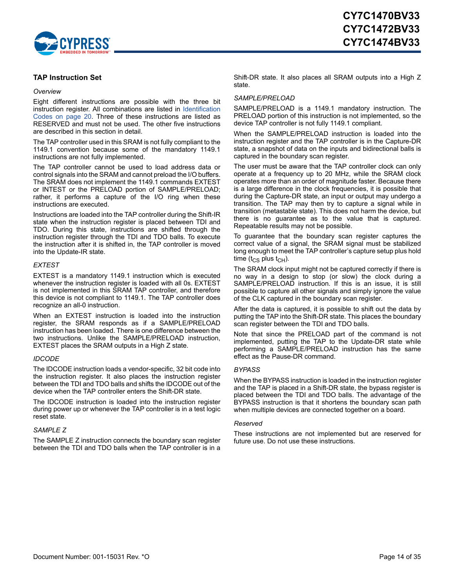

#### <span id="page-13-0"></span>**TAP Instruction Set**

#### *Overview*

Eight different instructions are possible with the three bit instruction register. All combinations are listed in [Identification](#page-19-2) [Codes on page 20](#page-19-2). Three of these instructions are listed as RESERVED and must not be used. The other five instructions are described in this section in detail.

The TAP controller used in this SRAM is not fully compliant to the 1149.1 convention because some of the mandatory 1149.1 instructions are not fully implemented.

The TAP controller cannot be used to load address data or control signals into the SRAM and cannot preload the I/O buffers. The SRAM does not implement the 1149.1 commands EXTEST or INTEST or the PRELOAD portion of SAMPLE/PRELOAD; rather, it performs a capture of the I/O ring when these instructions are executed.

Instructions are loaded into the TAP controller during the Shift-IR state when the instruction register is placed between TDI and TDO. During this state, instructions are shifted through the instruction register through the TDI and TDO balls. To execute the instruction after it is shifted in, the TAP controller is moved into the Update-IR state.

#### *EXTEST*

EXTEST is a mandatory 1149.1 instruction which is executed whenever the instruction register is loaded with all 0s. EXTEST is not implemented in this SRAM TAP controller, and therefore this device is not compliant to 1149.1. The TAP controller does recognize an all-0 instruction.

When an EXTEST instruction is loaded into the instruction register, the SRAM responds as if a SAMPLE/PRELOAD instruction has been loaded. There is one difference between the two instructions. Unlike the SAMPLE/PRELOAD instruction, EXTEST places the SRAM outputs in a High Z state.

#### *IDCODE*

The IDCODE instruction loads a vendor-specific, 32 bit code into the instruction register. It also places the instruction register between the TDI and TDO balls and shifts the IDCODE out of the device when the TAP controller enters the Shift-DR state.

The IDCODE instruction is loaded into the instruction register during power up or whenever the TAP controller is in a test logic reset state.

#### *SAMPLE Z*

The SAMPLE Z instruction connects the boundary scan register between the TDI and TDO balls when the TAP controller is in a Shift-DR state. It also places all SRAM outputs into a High Z state.

#### *SAMPLE/PRELOAD*

SAMPLE/PRELOAD is a 1149.1 mandatory instruction. The PRELOAD portion of this instruction is not implemented, so the device TAP controller is not fully 1149.1 compliant.

When the SAMPLE/PRELOAD instruction is loaded into the instruction register and the TAP controller is in the Capture-DR state, a snapshot of data on the inputs and bidirectional balls is captured in the boundary scan register.

The user must be aware that the TAP controller clock can only operate at a frequency up to 20 MHz, while the SRAM clock operates more than an order of magnitude faster. Because there is a large difference in the clock frequencies, it is possible that during the Capture-DR state, an input or output may undergo a transition. The TAP may then try to capture a signal while in transition (metastable state). This does not harm the device, but there is no guarantee as to the value that is captured. Repeatable results may not be possible.

To guarantee that the boundary scan register captures the correct value of a signal, the SRAM signal must be stabilized long enough to meet the TAP controller's capture setup plus hold time ( $t_{CS}$  plus  $t_{CH}$ ).

The SRAM clock input might not be captured correctly if there is no way in a design to stop (or slow) the clock during a SAMPLE/PRELOAD instruction. If this is an issue, it is still possible to capture all other signals and simply ignore the value of the CLK captured in the boundary scan register.

After the data is captured, it is possible to shift out the data by putting the TAP into the Shift-DR state. This places the boundary scan register between the TDI and TDO balls.

Note that since the PRELOAD part of the command is not implemented, putting the TAP to the Update-DR state while performing a SAMPLE/PRELOAD instruction has the same effect as the Pause-DR command.

#### *BYPASS*

When the BYPASS instruction is loaded in the instruction register and the TAP is placed in a Shift-DR state, the bypass register is placed between the TDI and TDO balls. The advantage of the BYPASS instruction is that it shortens the boundary scan path when multiple devices are connected together on a board.

#### *Reserved*

These instructions are not implemented but are reserved for future use. Do not use these instructions.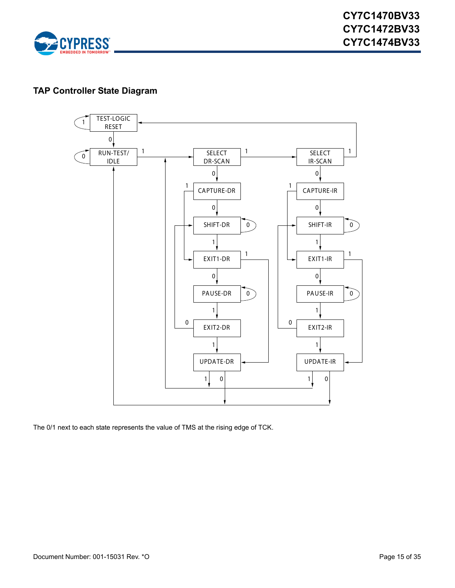

# <span id="page-14-0"></span>**TAP Controller State Diagram**



The 0/1 next to each state represents the value of TMS at the rising edge of TCK.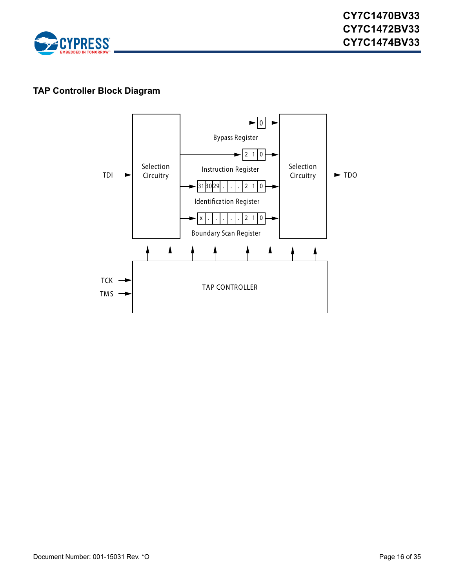

# <span id="page-15-0"></span>**TAP Controller Block Diagram**

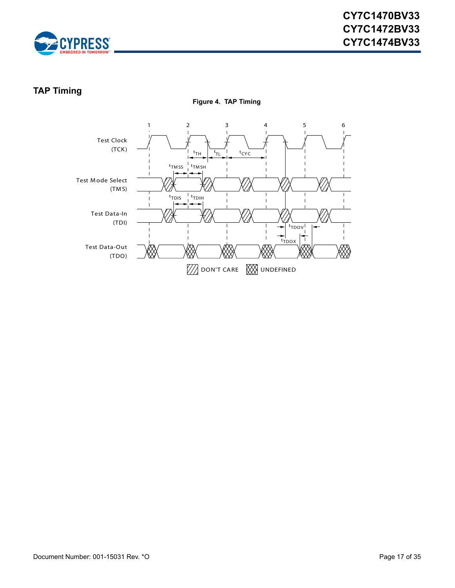

# <span id="page-16-0"></span>**TAP Timing**

**Figure 4. TAP Timing**

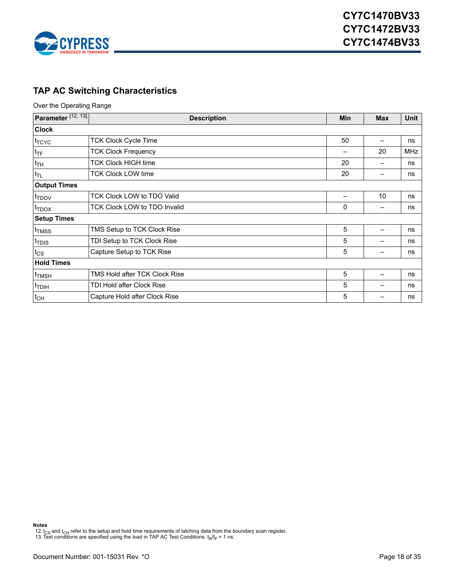

# <span id="page-17-0"></span>**TAP AC Switching Characteristics**

Over the Operating Range

| Parameter <sup>[12, 13]</sup> | <b>Description</b>                   |  | <b>Min</b> | <b>Max</b> | Unit |  |
|-------------------------------|--------------------------------------|--|------------|------------|------|--|
| <b>Clock</b>                  |                                      |  |            |            |      |  |
| <sup>t</sup> TCYC             | <b>TCK Clock Cycle Time</b>          |  | 50         | —          | ns   |  |
| <sup>t</sup> TF               | <b>TCK Clock Frequency</b>           |  |            |            |      |  |
| $ t_{TH} $                    | <b>TCK Clock HIGH time</b>           |  | 20         | —          | ns   |  |
| $ t_{TL} $                    | <b>TCK Clock LOW time</b>            |  |            |            |      |  |
| <b>Output Times</b>           |                                      |  |            |            |      |  |
| t <sub>TDOV</sub>             | TCK Clock LOW to TDO Valid           |  |            | 10         | ns   |  |
| $t_{\text{TDOX}}$             | TCK Clock LOW to TDO Invalid         |  | 0          |            | ns   |  |
| <b>Setup Times</b>            |                                      |  |            |            |      |  |
| <sup>t</sup> TMSS             | TMS Setup to TCK Clock Rise          |  | 5          |            | ns   |  |
| <sup>t</sup> TDIS             | TDI Setup to TCK Clock Rise          |  | 5          |            | ns   |  |
| $t_{\text{CS}}$               | Capture Setup to TCK Rise            |  | 5          |            | ns   |  |
| <b>Hold Times</b>             |                                      |  |            |            |      |  |
| <sup>t</sup> TMSH             | <b>TMS Hold after TCK Clock Rise</b> |  | 5          |            | ns   |  |
| <sup>t</sup> TDIH             | TDI Hold after Clock Rise            |  | 5          |            | ns   |  |
| $t_{CH}$                      | Capture Hold after Clock Rise        |  | 5          |            | ns   |  |

<span id="page-17-1"></span>12. t<sub>CS</sub> and t<sub>CH</sub> refer to the setup and hold time requirements of latching data from the boundary scan register.<br>13. Test conditions are specified using the load in TAP AC Test Conditions. t<sub>R</sub>/t<sub>F</sub> = 1 ns.

<span id="page-17-2"></span>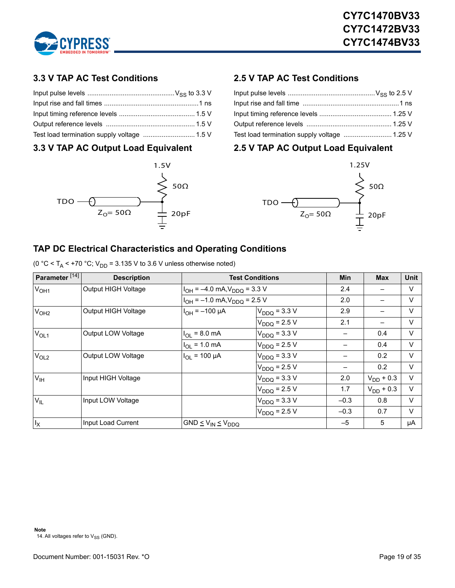

# <span id="page-18-0"></span>**3.3 V TAP AC Test Conditions**

# <span id="page-18-1"></span>**3.3 V TAP AC Output Load Equivalent**



# <span id="page-18-2"></span>**2.5 V TAP AC Test Conditions**

| Test load termination supply voltage  1.25 V |  |
|----------------------------------------------|--|

# <span id="page-18-3"></span>**2.5 V TAP AC Output Load Equivalent**



# <span id="page-18-4"></span>**TAP DC Electrical Characteristics and Operating Conditions**

(0 °C <  $T_A$  < +70 °C;  $V_{DD}$  = 3.135 V to 3.6 V unless otherwise noted)

<span id="page-18-5"></span>

| Parameter <sup>[14]</sup> | <b>Description</b>  |                                       | <b>Test Conditions</b> |        | <b>Max</b>     | Unit   |
|---------------------------|---------------------|---------------------------------------|------------------------|--------|----------------|--------|
| V <sub>OH1</sub>          | Output HIGH Voltage | $I_{OH} = -4.0$ mA, $V_{DDQ} = 3.3$ V |                        | 2.4    |                | $\vee$ |
|                           |                     | $I_{OH} = -1.0$ mA, $V_{DDO} = 2.5$ V |                        | 2.0    |                | $\vee$ |
| V <sub>OH2</sub>          | Output HIGH Voltage | $IOH = -100 \mu A$                    | $V_{DDQ} = 3.3 V$      |        |                | $\vee$ |
|                           |                     |                                       | $V_{DDQ} = 2.5 V$      | 2.1    |                | $\vee$ |
| $V_{OL1}$                 | Output LOW Voltage  | $I_{OL} = 8.0$ mA                     | $V_{DDQ} = 3.3 V$      |        | 0.4            | V      |
|                           |                     | $I_{OL}$ = 1.0 mA                     | $V_{DDQ} = 2.5 V$      |        | 0.4            | $\vee$ |
| V <sub>OL2</sub>          | Output LOW Voltage  | $I_{OL}$ = 100 µA                     | $V_{DDQ} = 3.3 V$      |        | 0.2            | $\vee$ |
|                           |                     |                                       | $V_{DDQ} = 2.5 V$      |        | 0.2            | $\vee$ |
| V <sub>IH</sub>           | Input HIGH Voltage  |                                       | $V_{DDQ} = 3.3 V$      | 2.0    | $V_{DD}$ + 0.3 | $\vee$ |
|                           |                     |                                       | $V_{DDQ}$ = 2.5 V      | 1.7    | $V_{DD}$ + 0.3 | $\vee$ |
| $V_{IL}$                  | Input LOW Voltage   |                                       | $V_{DDQ} = 3.3 V$      | $-0.3$ | 0.8            | $\vee$ |
|                           |                     |                                       | $V_{DDQ} = 2.5 V$      | $-0.3$ | 0.7            | $\vee$ |
| $I_X$                     | Input Load Current  | $GND \leq V_{IN} \leq V_{DDQ}$        |                        | $-5$   | 5              | μA     |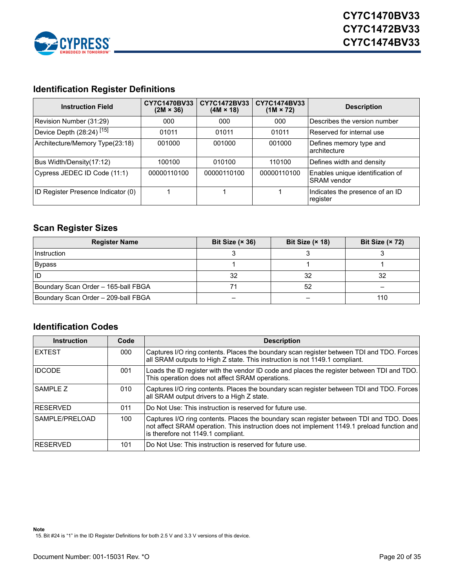

# <span id="page-19-0"></span>**Identification Register Definitions**

| <b>Instruction Field</b>             | CY7C1470BV33<br>$(2M \times 36)$ | CY7C1472BV33<br>$(4M \times 18)$ | CY7C1474BV33<br>$(1M \times 72)$ | <b>Description</b>                                      |
|--------------------------------------|----------------------------------|----------------------------------|----------------------------------|---------------------------------------------------------|
| Revision Number (31:29)              | 000                              | 000                              | 000                              | lDescribes the version number                           |
| Device Depth (28:24) <sup>[15]</sup> | 01011                            | 01011                            | 01011                            | Reserved for internal use                               |
| Architecture/Memory Type(23:18)      | 001000                           | 001000                           | 001000                           | Defines memory type and<br>Iarchitecture                |
| Bus Width/Density(17:12)             | 100100                           | 010100                           | 110100                           | Defines width and density                               |
| Cypress JEDEC ID Code (11:1)         | 00000110100                      | 00000110100                      | 00000110100                      | Enables unique identification of<br><b>ISRAM</b> vendor |
| ID Register Presence Indicator (0)   |                                  |                                  |                                  | Indicates the presence of an ID<br>register             |

# <span id="page-19-1"></span>**Scan Register Sizes**

| <b>Register Name</b>                | Bit Size $(x 36)$ | Bit Size $(x 18)$ | Bit Size (× 72) |
|-------------------------------------|-------------------|-------------------|-----------------|
| Instruction                         |                   |                   |                 |
| <b>Bypass</b>                       |                   |                   |                 |
| <b>IID</b>                          | 32                | 32                | 32              |
| Boundary Scan Order - 165-ball FBGA |                   | 52                |                 |
| Boundary Scan Order - 209-ball FBGA |                   |                   | 110             |

#### <span id="page-19-2"></span>**Identification Codes**

| <b>Instruction</b> | Code | <b>Description</b>                                                                                                                                                                                                          |
|--------------------|------|-----------------------------------------------------------------------------------------------------------------------------------------------------------------------------------------------------------------------------|
| <b>IEXTEST</b>     | 000  | Captures I/O ring contents. Places the boundary scan register between TDI and TDO. Forces<br>all SRAM outputs to High Z state. This instruction is not 1149.1 compliant.                                                    |
| <b>IDCODE</b>      | 001  | Loads the ID register with the vendor ID code and places the register between TDI and TDO.<br>This operation does not affect SRAM operations.                                                                               |
| <b>SAMPLE Z</b>    | 010  | Captures I/O ring contents. Places the boundary scan register between TDI and TDO. Forces<br>all SRAM output drivers to a High Z state.                                                                                     |
| <b>IRESERVED</b>   | 011  | Do Not Use: This instruction is reserved for future use.                                                                                                                                                                    |
| SAMPLE/PRELOAD     | 100  | Captures I/O ring contents. Places the boundary scan register between TDI and TDO. Does<br>not affect SRAM operation. This instruction does not implement 1149.1 preload function and<br>is therefore not 1149.1 compliant. |
| <b>RESERVED</b>    | 101  | Do Not Use: This instruction is reserved for future use.                                                                                                                                                                    |

<span id="page-19-3"></span>**Note** 15. Bit #24 is "1" in the ID Register Definitions for both 2.5 V and 3.3 V versions of this device.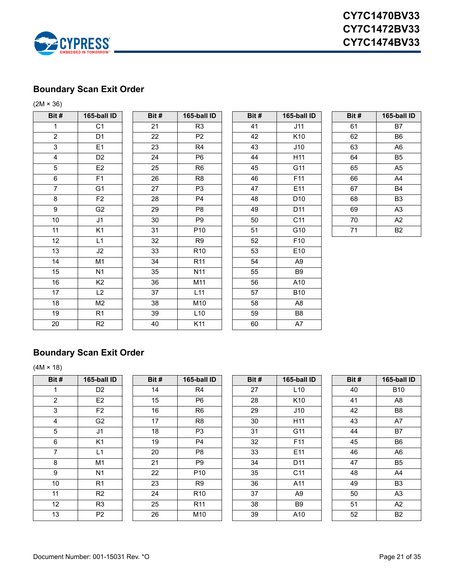

# <span id="page-20-0"></span>**Boundary Scan Exit Order**

(2M × 36)

| Bit#                    | 165-ball ID    | Bit# | 165-ball ID     | Bit # | 165-ba          |
|-------------------------|----------------|------|-----------------|-------|-----------------|
| 1                       | C <sub>1</sub> | 21   | R <sub>3</sub>  | 41    | J11             |
| $\overline{2}$          | D <sub>1</sub> | 22   | P <sub>2</sub>  | 42    | K <sub>1</sub>  |
| $\overline{3}$          | E1             | 23   | R <sub>4</sub>  | 43    | J1C             |
| $\overline{\mathbf{4}}$ | D <sub>2</sub> | 24   | P <sub>6</sub>  | 44    | H1'             |
| $\overline{5}$          | E <sub>2</sub> | 25   | R <sub>6</sub>  | 45    | G1'             |
| 6                       | F1             | 26   | R <sub>8</sub>  | 46    | F11             |
| $\overline{7}$          | G1             | 27   | P <sub>3</sub>  | 47    | E <sub>11</sub> |
| 8                       | F <sub>2</sub> | 28   | P <sub>4</sub>  | 48    | D10             |
| 9                       | G <sub>2</sub> | 29   | P <sub>8</sub>  | 49    | D1'             |
| 10                      | J1             | 30   | P9              | 50    | C1'             |
| 11                      | K <sub>1</sub> | 31   | P10             | 51    | G10             |
| 12                      | L1             | 32   | R <sub>9</sub>  | 52    | F10             |
| 13                      | J2             | 33   | R <sub>10</sub> | 53    | E10             |
| 14                      | M1             | 34   | R <sub>11</sub> | 54    | A <sub>9</sub>  |
| 15                      | N <sub>1</sub> | 35   | N <sub>11</sub> | 55    | B <sub>9</sub>  |
| 16                      | K <sub>2</sub> | 36   | M11             | 56    | A10             |
| 17                      | L2             | 37   | L11             | 57    | <b>B10</b>      |
| 18                      | M2             | 38   | M10             | 58    | A <sub>8</sub>  |
| 19                      | R <sub>1</sub> | 39   | L10             | 59    | B <sub>8</sub>  |
| 20                      | R2             | 40   | K11             | 60    | A7              |
|                         |                |      |                 |       |                 |

| it #            | 165-ball ID    | Bit#        | 165-ball ID     | Bit# | 165-bal         |
|-----------------|----------------|-------------|-----------------|------|-----------------|
| $\overline{1}$  | C <sub>1</sub> | 21          | R <sub>3</sub>  | 41   | J11             |
| $\overline{2}$  | D <sub>1</sub> | 22          | P <sub>2</sub>  | 42   | K10             |
| $\overline{3}$  | E1             | 23          | R <sub>4</sub>  | 43   | J10             |
| $\overline{4}$  | D <sub>2</sub> | 24          | P <sub>6</sub>  | 44   | H11             |
| $\sqrt{5}$      | E2             | 25          | R <sub>6</sub>  | 45   | G11             |
| $\overline{6}$  | F <sub>1</sub> | 26          | R <sub>8</sub>  | 46   | F11             |
| $\overline{7}$  | G <sub>1</sub> | 27          | P <sub>3</sub>  | 47   | E11             |
| $\overline{8}$  | F <sub>2</sub> | 28          | P <sub>4</sub>  | 48   | D <sub>10</sub> |
| $\overline{9}$  | G <sub>2</sub> | 29          | P <sub>8</sub>  | 49   | D <sub>11</sub> |
| 10              | J1             | 30          | P <sub>9</sub>  | 50   | C <sub>11</sub> |
| $\overline{11}$ | K1             | 31          | P <sub>10</sub> | 51   | G10             |
| 12              | L1             | 32          | R <sub>9</sub>  | 52   | F <sub>10</sub> |
| $\overline{13}$ | J2             | 33          | R <sub>10</sub> | 53   | E10             |
| $\overline{14}$ | M1             | 34          | R <sub>11</sub> | 54   | A9              |
| 15              | N1             | 35          | N <sub>11</sub> | 55   | B9              |
| 16              | K <sub>2</sub> | 36          | M11             | 56   | A10             |
| $\overline{17}$ | L2             | 37          | L11             | 57   | <b>B10</b>      |
| 18              | M <sub>2</sub> | 38          | M10             | 58   | A8              |
| 19              | R <sub>1</sub> | 39          | L10             | 59   | B8              |
| ১⊺              | R <sub>2</sub> | $\Lambda$ 0 | K <sub>11</sub> | R۵   | Δ7              |

| Bit #           | 165-ball ID    | Bit # | 165-ball ID     | Bit# | 165-ball ID     | Bit # | 165-ball ID    |
|-----------------|----------------|-------|-----------------|------|-----------------|-------|----------------|
| $\mathbf{1}$    | C <sub>1</sub> | 21    | R <sub>3</sub>  | 41   | J11             | 61    | <b>B7</b>      |
| $\overline{c}$  | D <sub>1</sub> | 22    | P <sub>2</sub>  | 42   | K <sub>10</sub> | 62    | B <sub>6</sub> |
| $\overline{3}$  | E <sub>1</sub> | 23    | R4              | 43   | J10             | 63    | A6             |
| $\overline{4}$  | D <sub>2</sub> | 24    | P <sub>6</sub>  | 44   | H11             | 64    | <b>B5</b>      |
| 5               | E2             | 25    | R <sub>6</sub>  | 45   | G11             | 65    | A <sub>5</sub> |
| 6               | F1             | 26    | R <sub>8</sub>  | 46   | F11             | 66    | A4             |
| $\overline{7}$  | G <sub>1</sub> | 27    | P <sub>3</sub>  | 47   | E11             | 67    | <b>B4</b>      |
| $\bf 8$         | F <sub>2</sub> | 28    | P <sub>4</sub>  | 48   | D <sub>10</sub> | 68    | B <sub>3</sub> |
| $\overline{9}$  | G <sub>2</sub> | 29    | P <sub>8</sub>  | 49   | D11             | 69    | A <sub>3</sub> |
| 10 <sub>1</sub> | J1             | 30    | P <sub>9</sub>  | 50   | C11             | 70    | A2             |
| 11              | K <sub>1</sub> | 31    | P <sub>10</sub> | 51   | G10             | 71    | <b>B2</b>      |
| 12              | L1             | 32    | R <sub>9</sub>  | 52   | F10             |       |                |
| 13              | J2             | 33    | R <sub>10</sub> | 53   | E10             |       |                |
| 14              | M <sub>1</sub> | 34    | R <sub>11</sub> | 54   | A <sub>9</sub>  |       |                |
| 15              | N <sub>1</sub> | 35    | N <sub>11</sub> | 55   | B <sub>9</sub>  |       |                |
| 16              | K <sub>2</sub> | 36    | M11             | 56   | A10             |       |                |
| 17              | L2             | 37    | L11             | 57   | <b>B10</b>      |       |                |
| 18              | M <sub>2</sub> | 38    | M10             | 58   | A8              |       |                |
| 19              | R <sub>1</sub> | 39    | L10             | 59   | B <sub>8</sub>  |       |                |
| 20              | R <sub>2</sub> | 40    | K11             | 60   | A7              |       |                |

| Bit # | 165-ball ID    |
|-------|----------------|
| 61    | B7             |
| 62    | B6             |
| 63    | A6             |
| 64    | B <sub>5</sub> |
| 65    | A <sub>5</sub> |
| 66    | A4             |
| 67    | B4             |
| 68    | B3             |
| 69    | A3             |
| 70    | A <sub>2</sub> |
| 71    | B2             |

# <span id="page-20-1"></span>**Boundary Scan Exit Order**

 $(4M × 18)$ 

| Bit #          | 165-ball ID    |
|----------------|----------------|
| 1              | D2             |
| $\overline{c}$ | E <sub>2</sub> |
| 3              | F <sub>2</sub> |
| 4              | G <sub>2</sub> |
| $\overline{5}$ | J <sub>1</sub> |
| 6              | K <sub>1</sub> |
| $\overline{7}$ | L1             |
| 8              | M <sub>1</sub> |
| 9              | N <sub>1</sub> |
| 10             | R <sub>1</sub> |
| 11             | R <sub>2</sub> |
| 12             | R <sub>3</sub> |
| 13             | P <sub>2</sub> |

| Bit #           | 165-ball ID    | Bit # | 165-ball ID     | Bit# | 165-ball ID     | Bit# | 165-ball ID    |
|-----------------|----------------|-------|-----------------|------|-----------------|------|----------------|
|                 | D <sub>2</sub> | 14    | R4              | 27   | L10             | 40   | <b>B10</b>     |
| 2               | E <sub>2</sub> | 15    | P <sub>6</sub>  | 28   | K <sub>10</sub> | 41   | A <sub>8</sub> |
| 3               | F <sub>2</sub> | 16    | R <sub>6</sub>  | 29   | J10             | 42   | B <sub>8</sub> |
| 4               | G <sub>2</sub> | 17    | R <sub>8</sub>  | 30   | H11             | 43   | A7             |
| 5               | J1             | 18    | P <sub>3</sub>  | 31   | G11             | 44   | B7             |
| 6               | K <sub>1</sub> | 19    | P <sub>4</sub>  | 32   | F <sub>11</sub> | 45   | B6             |
|                 | L1             | 20    | P <sub>8</sub>  | 33   | E11             | 46   | A <sub>6</sub> |
| 8               | M1             | 21    | P <sub>9</sub>  | 34   | D <sub>11</sub> | 47   | B <sub>5</sub> |
| 9               | N <sub>1</sub> | 22    | P <sub>10</sub> | 35   | C <sub>11</sub> | 48   | A4             |
| 10 <sup>1</sup> | R1             | 23    | R <sub>9</sub>  | 36   | A11             | 49   | B <sub>3</sub> |
| 11              | R <sub>2</sub> | 24    | R <sub>10</sub> | 37   | A <sub>9</sub>  | 50   | A <sub>3</sub> |
| 12 <sup>2</sup> | R <sub>3</sub> | 25    | R <sub>11</sub> | 38   | <b>B</b> 9      | 51   | A2             |
| 13              | P <sub>2</sub> | 26    | M10             | 39   | A10             | 52   | <b>B2</b>      |

| Bit # | 165-ball ID     |
|-------|-----------------|
| 27    | L10             |
| 28    | K10             |
| 29    | J10             |
| 30    | H11             |
| 31    | G11             |
| 32    | F11             |
| 33    | E <sub>11</sub> |
| 34    | D11             |
| 35    | C <sub>11</sub> |
| 36    | A11             |
| 37    | A9              |
| 38    | B9              |
| 39    | A10             |
|       |                 |

| 165-ball ID    |
|----------------|
| <b>B10</b>     |
| A8             |
| B8             |
| A7             |
| B7             |
| B6             |
| A <sub>6</sub> |
| B5             |
| A <sub>4</sub> |
| B3             |
| A3             |
| A2             |
| B2             |
|                |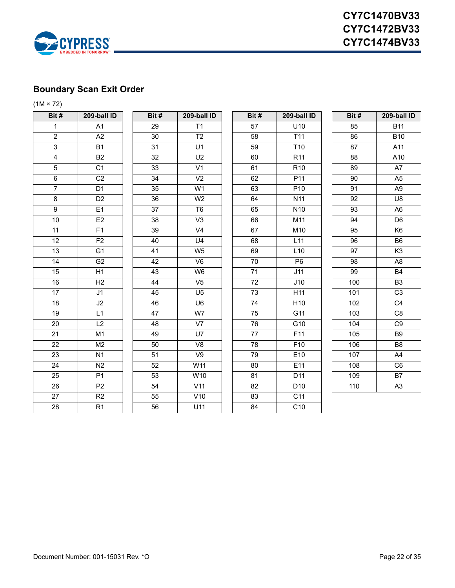

# <span id="page-21-0"></span>**Boundary Scan Exit Order**

 $(1M × 72)$ 

| Bit #                   | 209-ball ID     | Bit#            | 209-ball ID              | Bit # | 209-bal           |
|-------------------------|-----------------|-----------------|--------------------------|-------|-------------------|
| $\mathbf{1}$            | A1              | 29              | T1                       | 57    | U10               |
| $\overline{2}$          | A2              | 30              | T <sub>2</sub>           | 58    | T11               |
| $\overline{3}$          | <b>B1</b>       | $\overline{31}$ | U1                       | 59    | T <sub>10</sub>   |
| $\overline{\mathbf{4}}$ | <b>B2</b>       | 32              | U <sub>2</sub>           | 60    | R <sub>11</sub>   |
| 5                       | C <sub>1</sub>  | 33              | V <sub>1</sub>           | 61    | R <sub>10</sub>   |
| 6                       | C <sub>2</sub>  | 34              | V <sub>2</sub>           | 62    | P11               |
| $\overline{7}$          | D <sub>1</sub>  | $\overline{35}$ | W <sub>1</sub>           | 63    | P <sub>10</sub>   |
| $\overline{8}$          | D <sub>2</sub>  | 36              | W <sub>2</sub>           | 64    | N <sub>11</sub>   |
| 9                       | E1              | 37              | T <sub>6</sub>           | 65    | N <sub>10</sub>   |
| 10                      | E2              | 38              | V <sub>3</sub>           | 66    | $\overline{M11}$  |
| 11                      | F1              | 39              | V <sub>4</sub>           | 67    | M10               |
| $\overline{12}$         | F2              | 40              | U <sub>4</sub>           | 68    | L11               |
| 13                      | G <sub>1</sub>  | 41              | W <sub>5</sub>           | 69    | $\overline{L}$ 10 |
| $\overline{14}$         | G <sub>2</sub>  | 42              | $\overline{\mathsf{V6}}$ | 70    | P <sub>6</sub>    |
| 15                      | H1              | 43              | W <sub>6</sub>           | 71    | J11               |
| 16                      | H <sub>2</sub>  | 44              | V <sub>5</sub>           | 72    | J10               |
| $\overline{17}$         | J1              | 45              | U <sub>5</sub>           | 73    | H11               |
| 18                      | J2              | 46              | U <sub>6</sub>           | 74    | H <sub>10</sub>   |
| 19                      | $\overline{L1}$ | 47              | W7                       | 75    | $\overline{G11}$  |
| 20                      | L2              | 48              | V7                       | 76    | $\overline{G10}$  |
| 21                      | M1              | 49              | U7                       | 77    | F11               |
| 22                      | M <sub>2</sub>  | 50              | V <sub>8</sub>           | 78    | F10               |
| 23                      | N <sub>1</sub>  | 51              | V9                       | 79    | E10               |
| 24                      | N2              | 52              | W11                      | 80    | E11               |
| 25                      | P <sub>1</sub>  | 53              | W10                      | 81    | D11               |
| 26                      | P <sub>2</sub>  | 54              | V11                      | 82    | D <sub>10</sub>   |
| 27                      | R2              | 55              | V10                      | 83    | $\overline{C11}$  |
| 28                      | R <sub>1</sub>  | 56              | U11                      | 84    | C10               |
|                         |                 |                 |                          |       |                   |

| it#                     | 209-ball ID     | Bit#            | 209-ball ID     | Bit#            | 209-bal           |
|-------------------------|-----------------|-----------------|-----------------|-----------------|-------------------|
| $\overline{1}$          | A1              | 29              | T1              |                 | U10               |
|                         |                 |                 |                 | 57              |                   |
| $\overline{2}$          | A2              | 30              | $\overline{12}$ | 58              | $\overline{T}11$  |
| $\overline{3}$          | <b>B1</b>       | 31              | U1              | 59              | T <sub>10</sub>   |
| $\overline{\mathbf{4}}$ | B <sub>2</sub>  | 32              | U <sub>2</sub>  | 60              | R <sub>11</sub>   |
| $\sqrt{5}$              | C <sub>1</sub>  | 33              | V <sub>1</sub>  | 61              | R <sub>10</sub>   |
| $\,6\,$                 | C <sub>2</sub>  | 34              | V <sub>2</sub>  | 62              | P11               |
| $\overline{7}$          | D1              | 35              | W <sub>1</sub>  | 63              | P <sub>10</sub>   |
| $\bf 8$                 | D <sub>2</sub>  | 36              | W <sub>2</sub>  | 64              | N <sub>11</sub>   |
| $\overline{9}$          | E1              | $\overline{37}$ | T <sub>6</sub>  | 65              | N <sub>10</sub>   |
| 10                      | E2              | 38              | V <sub>3</sub>  | 66              | M11               |
| 11                      | F <sub>1</sub>  | 39              | V <sub>4</sub>  | 67              | $\overline{M}10$  |
| $\overline{12}$         | F2              | 40              | U <sub>4</sub>  | 68              | L11               |
| 13                      | G <sub>1</sub>  | 41              | W <sub>5</sub>  | 69              | L10               |
| 14                      | G <sub>2</sub>  | 42              | V <sub>6</sub>  | 70              | P <sub>6</sub>    |
| $\overline{15}$         | H1              | 43              | W <sub>6</sub>  | 71              | J11               |
| 16                      | H2              | 44              | V <sub>5</sub>  | 72              | J10               |
| $\overline{17}$         | J <sub>1</sub>  | 45              | U <sub>5</sub>  | 73              | H11               |
| $\overline{18}$         | J2              | 46              | U <sub>6</sub>  | $\overline{74}$ | H <sub>10</sub>   |
| $\overline{19}$         | $\overline{L1}$ | 47              | W7              | 75              | G11               |
| $\overline{20}$         | $\overline{L2}$ | 48              | V <sub>7</sub>  | 76              | $\overline{G}$ 10 |
| $\overline{21}$         | M <sub>1</sub>  | 49              | U7              | 77              | F11               |
| $\overline{22}$         | M <sub>2</sub>  | 50              | V <sub>8</sub>  | 78              | F <sub>10</sub>   |
| $\overline{23}$         | N <sub>1</sub>  | 51              | V9              | 79              | E10               |
| $\overline{24}$         | N <sub>2</sub>  | 52              | W11             | 80              | E11               |
| $\overline{25}$         | P <sub>1</sub>  | 53              | W10             | 81              | D <sub>11</sub>   |
| $\overline{26}$         | P <sub>2</sub>  | 54              | V11             | 82              | D <sub>10</sub>   |
| $\overline{27}$         | R <sub>2</sub>  | 55              | V10             | 83              | $\overline{C11}$  |
| $\overline{28}$         | R <sub>1</sub>  | 56              | 1111            | RA              | C <sub>10</sub>   |

| it#              | 209-ball ID    | Bit# | 209-ball ID    | Bit # | 209-ball ID     | Bit# | <b>209-bal</b> |
|------------------|----------------|------|----------------|-------|-----------------|------|----------------|
| $\mathbf{1}$     | A1             | 29   | T1             | 57    | U10             | 85   | <b>B11</b>     |
| $\overline{2}$   | A2             | 30   | T <sub>2</sub> | 58    | T <sub>11</sub> | 86   | <b>B10</b>     |
| $\overline{3}$   | <b>B1</b>      | 31   | U1             | 59    | T <sub>10</sub> | 87   | A11            |
| $\overline{4}$   | <b>B2</b>      | 32   | U <sub>2</sub> | 60    | R <sub>11</sub> | 88   | A10            |
| $\overline{5}$   | C <sub>1</sub> | 33   | V <sub>1</sub> | 61    | R <sub>10</sub> | 89   | A7             |
| 6                | C <sub>2</sub> | 34   | V <sub>2</sub> | 62    | P11             | 90   | A <sub>5</sub> |
| $\overline{7}$   | D <sub>1</sub> | 35   | W <sub>1</sub> | 63    | P10             | 91   | A <sub>9</sub> |
| 8                | D <sub>2</sub> | 36   | W <sub>2</sub> | 64    | N <sub>11</sub> | 92   | U8             |
| $\boldsymbol{9}$ | E1             | 37   | T <sub>6</sub> | 65    | N <sub>10</sub> | 93   | A <sub>6</sub> |
| 10               | E2             | 38   | V <sub>3</sub> | 66    | M11             | 94   | D <sub>6</sub> |
| $\overline{11}$  | F <sub>1</sub> | 39   | V <sub>4</sub> | 67    | M10             | 95   | K <sub>6</sub> |
| $\overline{12}$  | F <sub>2</sub> | 40   | U4             | 68    | L11             | 96   | B <sub>6</sub> |
| $\overline{13}$  | G <sub>1</sub> | 41   | W <sub>5</sub> | 69    | L10             | 97   | K <sub>3</sub> |
| 14               | G <sub>2</sub> | 42   | V <sub>6</sub> | 70    | P <sub>6</sub>  | 98   | A8             |
| $\overline{15}$  | H1             | 43   | W <sub>6</sub> | 71    | J11             | 99   | B <sub>4</sub> |
| $\overline{16}$  | H <sub>2</sub> | 44   | V <sub>5</sub> | 72    | J10             | 100  | B <sub>3</sub> |
| $\overline{17}$  | J1             | 45   | U <sub>5</sub> | 73    | H11             | 101  | C <sub>3</sub> |
| $\overline{18}$  | J2             | 46   | U <sub>6</sub> | 74    | H <sub>10</sub> | 102  | C <sub>4</sub> |
| 19               | L1             | 47   | W7             | 75    | G11             | 103  | C <sub>8</sub> |
| 20               | L2             | 48   | V7             | 76    | G10             | 104  | C <sub>9</sub> |
| $\overline{21}$  | M1             | 49   | U7             | 77    | F11             | 105  | B <sub>9</sub> |
| $\overline{22}$  | M <sub>2</sub> | 50   | V <sub>8</sub> | 78    | F <sub>10</sub> | 106  | B <sub>8</sub> |
| $\overline{23}$  | N <sub>1</sub> | 51   | V9             | 79    | E10             | 107  | A4             |
| $\overline{24}$  | N <sub>2</sub> | 52   | W11            | 80    | E11             | 108  | C <sub>6</sub> |
| $\overline{25}$  | P <sub>1</sub> | 53   | W10            | 81    | D11             | 109  | <b>B7</b>      |
| $\overline{26}$  | P <sub>2</sub> | 54   | V11            | 82    | D <sub>10</sub> | 110  | A <sub>3</sub> |
| $\overline{27}$  | R2             | 55   | V10            | 83    | C11             |      |                |
| 28               | R <sub>1</sub> | 56   | U11            | 84    | C10             |      |                |

| Bit #           | 209-ball ID           | Bit# | 209-ball ID    | Bit#            | 209-ball ID     | Bit # | 209-ball ID    |
|-----------------|-----------------------|------|----------------|-----------------|-----------------|-------|----------------|
| $\mathbf{1}$    | A1                    | 29   | T1             | 57              | U10             | 85    | <b>B11</b>     |
| $\overline{2}$  | A2                    | 30   | T <sub>2</sub> | 58              | T11             | 86    | <b>B10</b>     |
| $\overline{3}$  | <b>B1</b>             | 31   | U1             | 59              | T <sub>10</sub> | 87    | A11            |
| $\overline{4}$  | <b>B2</b>             | 32   | U2             | 60              | R <sub>11</sub> | 88    | A10            |
| 5               | C <sub>1</sub>        | 33   | V <sub>1</sub> | 61              | R <sub>10</sub> | 89    | A7             |
| 6               | C <sub>2</sub>        | 34   | V <sub>2</sub> | 62              | P11             | 90    | A <sub>5</sub> |
| $\overline{7}$  | D <sub>1</sub>        | 35   | W <sub>1</sub> | 63              | P <sub>10</sub> | 91    | A <sub>9</sub> |
| 8               | D <sub>2</sub>        | 36   | W <sub>2</sub> | 64              | N11             | 92    | U8             |
| $\overline{9}$  | E1                    | 37   | T <sub>6</sub> | 65              | N <sub>10</sub> | 93    | A <sub>6</sub> |
| 10              | E <sub>2</sub>        | 38   | V <sub>3</sub> | 66              | M11             | 94    | D <sub>6</sub> |
| 11              | F <sub>1</sub>        | 39   | V <sub>4</sub> | 67              | M10             | 95    | K <sub>6</sub> |
| 12              | F <sub>2</sub>        | 40   | U4             | 68              | L11             | 96    | B <sub>6</sub> |
| 13              | G <sub>1</sub>        | 41   | W <sub>5</sub> | 69              | L10             | 97    | K <sub>3</sub> |
| 14              | G <sub>2</sub>        | 42   | V <sub>6</sub> | 70              | P <sub>6</sub>  | 98    | A <sub>8</sub> |
| 15              | H1                    | 43   | W <sub>6</sub> | 71              | J11             | 99    | <b>B4</b>      |
| 16              | H2                    | 44   | V <sub>5</sub> | $\overline{72}$ | J10             | 100   | B <sub>3</sub> |
| 17              | J1                    | 45   | U <sub>5</sub> | 73              | H11             | 101   | C <sub>3</sub> |
| 18              | J2                    | 46   | U <sub>6</sub> | 74              | H10             | 102   | C <sub>4</sub> |
| 19              | L1                    | 47   | W7             | $\overline{75}$ | G11             | 103   | C <sub>8</sub> |
| $\overline{20}$ | L2                    | 48   | V7             | 76              | G10             | 104   | C9             |
| 21              | M1                    | 49   | U7             | 77              | F11             | 105   | B <sub>9</sub> |
| 22              | M2                    | 50   | V8             | 78              | F10             | 106   | B <sub>8</sub> |
| 23              | N <sub>1</sub>        | 51   | V9             | 79              | E10             | 107   | A4             |
| 24              | N2                    | 52   | W11            | 80              | E11             | 108   | C <sub>6</sub> |
| 25              | P <sub>1</sub>        | 53   | W10            | 81              | D11             | 109   | <b>B7</b>      |
| 26              | P <sub>2</sub>        | 54   | V11            | 82              | D <sub>10</sub> | 110   | A <sub>3</sub> |
| 27              | <b>D</b> <sup>2</sup> | 55   | 1/10           | <b>Q</b>        | C <sub>11</sub> |       |                |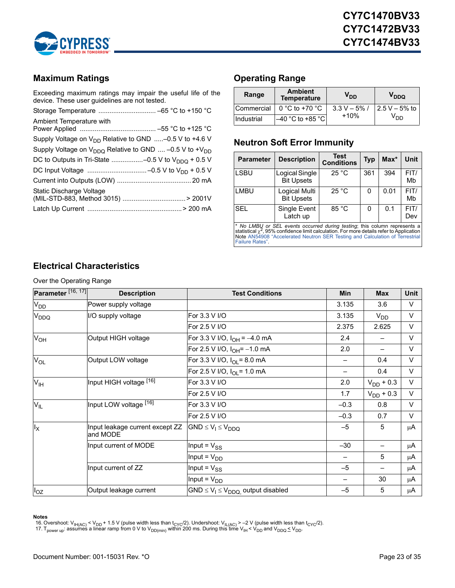

# <span id="page-22-0"></span>**Maximum Ratings**

Exceeding maximum ratings may impair the useful life of the device. These user guidelines are not tested.

| Ambient Temperature with                                          |
|-------------------------------------------------------------------|
| Supply Voltage on $V_{DD}$ Relative to GND -0.5 V to +4.6 V       |
| Supply Voltage on $V_{DDO}$ Relative to GND  -0.5 V to + $V_{DD}$ |
| DC to Outputs in Tri-State -0.5 V to $V_{DDQ}$ + 0.5 V            |
|                                                                   |
|                                                                   |
| Static Discharge Voltage                                          |
|                                                                   |

# <span id="page-22-1"></span>**Operating Range**

| Range      | <b>Ambient</b><br><b>Temperature</b> | V <sub>DD</sub> | V <sub>DDQ</sub> |
|------------|--------------------------------------|-----------------|------------------|
| Commercial | 0 °C to +70 °C                       | $3.3 V - 5\%$ / | $2.5 V - 5%$ to  |
| Industrial | $-40$ °C to +85 °C                   | $+10%$          | V <sub>DD</sub>  |

### <span id="page-22-2"></span>**Neutron Soft Error Immunity**

| <b>Parameter</b> | <b>Description</b>                  | <b>Test</b><br><b>Conditions</b> | <b>Typ</b> | $Max^*$ | Unit        |
|------------------|-------------------------------------|----------------------------------|------------|---------|-------------|
| <b>LSBU</b>      | Logical Single<br><b>Bit Upsets</b> | 25 °C                            | 361        | 394     | FIT/<br>Mb  |
| <b>LMBU</b>      | Logical Multi<br><b>Bit Upsets</b>  | 25 °C                            | 0          | 0.01    | FIT/<br>Mb  |
| <b>SEL</b>       | Single Event<br>Latch up            | 85 °C                            | 0          | 0.1     | FIT/<br>Dev |

\* *No LMBU or SEL events occurred during testing*; this column represents a<br>statistical x<sup>2</sup>,95% confidence limit calculation. For more details refer to Application<br>Note AN54908 "Accelerated Neutron SER Testing and Calcula

# <span id="page-22-3"></span>**Electrical Characteristics**

Over the Operating Range

| Parameter <sup>[16, 17]</sup> | <b>Description</b>                          | <b>Test Conditions</b>                      | Min    | <b>Max</b>               | Unit   |
|-------------------------------|---------------------------------------------|---------------------------------------------|--------|--------------------------|--------|
| V <sub>DD</sub>               | Power supply voltage                        |                                             | 3.135  | 3.6                      | V      |
| V <sub>DDQ</sub>              | I/O supply voltage                          | For 3.3 V I/O                               | 3.135  | $V_{DD}$                 | V      |
|                               |                                             | For 2.5 V I/O                               | 2.375  | 2.625                    | V      |
| $V_{OH}$                      | Output HIGH voltage                         | For 3.3 V I/O, $I_{OH} = -4.0$ mA           | 2.4    | —                        | V      |
|                               |                                             | For 2.5 V I/O, $I_{OH} = -1.0$ mA           | 2.0    | —                        | V      |
| $V_{OL}$                      | Output LOW voltage                          | For 3.3 V I/O, $I_{OI}$ = 8.0 mA            |        | 0.4                      | V      |
|                               |                                             | For 2.5 V I/O, $I_{OI} = 1.0$ mA            |        | 0.4                      | V      |
| $V_{\text{IH}}$               | Input HIGH voltage [16]                     | For 3.3 V I/O                               | 2.0    | $V_{DD}$ + 0.3           | V      |
|                               |                                             | For 2.5 V I/O                               | 1.7    | $V_{DD}$ + 0.3           | V      |
| $V_{IL}$                      | Input LOW voltage [16]                      | For 3.3 V I/O                               | $-0.3$ | 0.8                      | $\vee$ |
|                               |                                             | For 2.5 V I/O                               | $-0.3$ | 0.7                      | $\vee$ |
| $I_X$                         | Input leakage current except ZZ<br>and MODE | $GND \leq V_1 \leq V_{DDQ}$                 | $-5$   | 5                        | μA     |
|                               | Input current of MODE                       | Input = $V_{SS}$                            | $-30$  | $\overline{\phantom{0}}$ | μA     |
|                               |                                             | Input = $V_{DD}$                            |        | 5                        | μA     |
|                               | Input current of ZZ                         | Input = $V_{SS}$                            | $-5$   | -                        | μA     |
|                               |                                             | Input = $V_{DD}$                            |        | 30                       | μA     |
| $I_{OZ}$                      | Output leakage current                      | $GND \leq V_1 \leq V_{DDQ}$ output disabled | $-5$   | 5                        | μA     |

#### **Notes**

<span id="page-22-4"></span>16. Overshoot: V<sub>IH(AC)</sub> < V<sub>DD</sub> + 1.5 V (pulse width less than t<sub>CYC</sub>/2). Undershoot: V<sub>IL(AC)</sub> > –2 V (pulse width less than t<sub>CYC</sub>/2).<br>17. T<sub>power up</sub>: assumes a linear ramp from 0 V to V<sub>DD(min)</sub> within 200 ms. Durin

<span id="page-22-5"></span>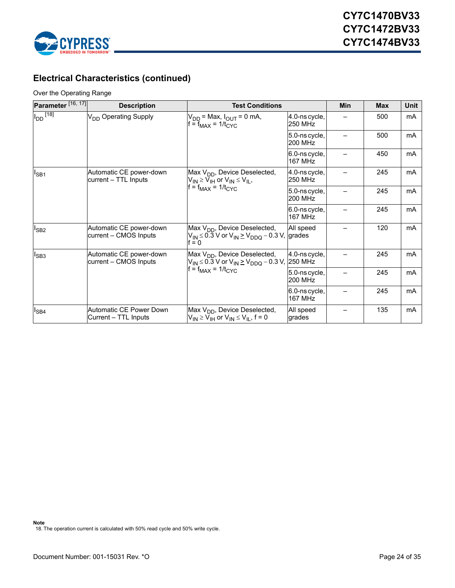

# **Electrical Characteristics (continued)**

#### Over the Operating Range

| Parameter <sup>[16, 17]</sup> | <b>Description</b>                               | <b>Test Conditions</b>                                                                                                    |                                 | Min | <b>Max</b> | <b>Unit</b> |
|-------------------------------|--------------------------------------------------|---------------------------------------------------------------------------------------------------------------------------|---------------------------------|-----|------------|-------------|
| $I_{DD}$ <sup>[18]</sup>      | V <sub>DD</sub> Operating Supply                 | $V_{DD}$ = Max, $I_{OUT}$ = 0 mA,<br>$f = f_{MAX} = 1/t_{CYC}$                                                            | 4.0-ns cycle,<br>250 MHz        |     | 500        | mA          |
|                               |                                                  |                                                                                                                           | 5.0-ns cycle,<br>200 MHz        |     | 500        | mA          |
|                               |                                                  |                                                                                                                           | 6.0-ns cycle,<br><b>167 MHz</b> |     | 450        | mA          |
| $I_{SB1}$                     | Automatic CE power-down<br>current – TTL Inputs  | Max V <sub>DD</sub> , Device Deselected,<br>$V_{IN} \geq V_{IH}$ or $V_{IN} \leq V_{IL}$ ,                                | 4.0-ns cycle,<br><b>250 MHz</b> |     | 245        | mA          |
|                               |                                                  | $f = f_{MAX} = 1/t_{CYC}$                                                                                                 | 5.0-ns cycle,<br>200 MHz        |     | 245        | mA          |
|                               |                                                  |                                                                                                                           | 6.0-ns cycle,<br><b>167 MHz</b> |     | 245        | mA          |
| $I_{SB2}$                     | Automatic CE power-down<br>current – CMOS Inputs | Max V <sub>DD</sub> , Device Deselected,<br>$V_{IN}$ $\leq$ 0.3 V or $V_{IN}$ $\geq$ $V_{DDO}$ – 0.3 V, grades<br>$f = 0$ | All speed                       |     | 120        | mA          |
| $I_{SB3}$                     | Automatic CE power-down<br>current - CMOS Inputs | Max V <sub>DD</sub> , Device Deselected,<br>$V_{IN}$ ≤ 0.3 V or $V_{IN}$ ≥ $V_{DDO}$ – 0.3 V, 250 MHz                     | 4.0-ns cycle,                   |     | 245        | mA          |
|                               |                                                  | $=$ f <sub>MAX</sub> = 1/t <sub>CYC</sub>                                                                                 | 5.0-ns cycle,<br><b>200 MHz</b> |     | 245        | mA          |
|                               |                                                  |                                                                                                                           | 6.0-ns cycle,<br><b>167 MHz</b> |     | 245        | mA          |
| $I_{SB4}$                     | Automatic CE Power Down<br>Current – TTL Inputs  | Max V <sub>DD</sub> , Device Deselected,<br>$V_{IN} \geq V_{IH}$ or $V_{IN} \leq V_{II}$ , f = 0                          | All speed<br>grades             |     | 135        | mA          |

<span id="page-23-0"></span>**Note** 18. The operation current is calculated with 50% read cycle and 50% write cycle.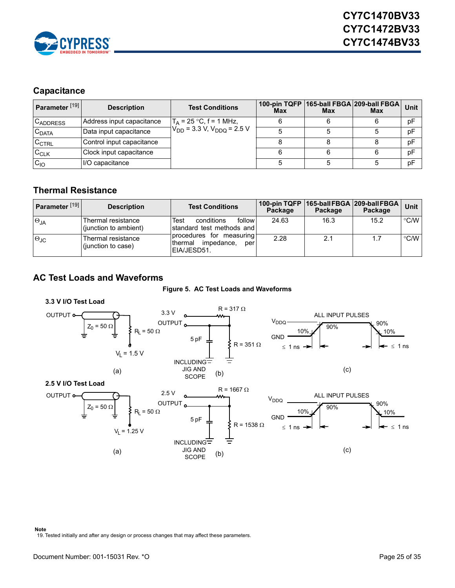

# <span id="page-24-0"></span>**Capacitance**

| Parameter <sup>[19]</sup> | <b>Description</b>        | <b>Test Conditions</b>              | <b>Max</b> | <b>Max</b> | 100-pin TQFP 165-ball FBGA 209-ball FBGA<br>Max | Unit |
|---------------------------|---------------------------|-------------------------------------|------------|------------|-------------------------------------------------|------|
| <b>CADDRESS</b>           | Address input capacitance | $T_A = 25 °C$ , f = 1 MHz,          |            |            |                                                 | рF   |
| $C_{DATA}$                | Data input capacitance    | $V_{DD}$ = 3.3 V, $V_{DDO}$ = 2.5 V |            |            |                                                 | pF   |
| $C_{\text{CTRL}}$         | Control input capacitance |                                     |            |            |                                                 | pF   |
| $C_{CLK}$                 | Clock input capacitance   |                                     |            |            |                                                 | pF   |
| $C_{10}$                  | II/O capacitance          |                                     |            |            |                                                 | pF   |

### <span id="page-24-1"></span>**Thermal Resistance**

| Parameter <sup>[19]</sup> | <b>Description</b>                           | <b>Test Conditions</b>                                                    | Package | Package | 100-pin TQFP   165-ball FBGA   209-ball FBGA  <br>Package | <b>Unit</b>   |
|---------------------------|----------------------------------------------|---------------------------------------------------------------------------|---------|---------|-----------------------------------------------------------|---------------|
| $\Theta_{JA}$             | lThermal resistance<br>(junction to ambient) | follow<br>conditions<br>Test<br>Istandard test methods and l              | 24.63   | 16.3    | 15.2                                                      | $\degree$ C/W |
| $\Theta$ JC               | lThermal resistance<br>(junction to case)    | procedures for measuring<br>impedance.<br>Ithermal<br>per<br>IEIA/JESD51. | 2.28    | 2.1     | 1.7                                                       | $\degree$ C/W |

# <span id="page-24-2"></span>**AC Test Loads and Waveforms**



<span id="page-24-4"></span>

<span id="page-24-3"></span>**Note** 19. Tested initially and after any design or process changes that may affect these parameters.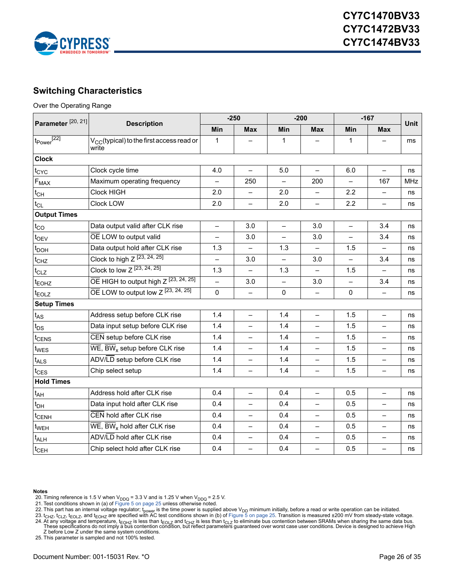

# <span id="page-25-0"></span>**Switching Characteristics**

Over the Operating Range

| Parameter <sup>[20, 21]</sup>                | <b>Description</b>                                                                   | $-250$       |                          | $-200$                   |                          | $-167$                   |                          | <b>Unit</b> |
|----------------------------------------------|--------------------------------------------------------------------------------------|--------------|--------------------------|--------------------------|--------------------------|--------------------------|--------------------------|-------------|
|                                              |                                                                                      | Min          | <b>Max</b>               | <b>Min</b>               | <b>Max</b>               | <b>Min</b>               | <b>Max</b>               |             |
| $t_{Power}^{[22]}$                           | $V_{CC}$ (typical) to the first access read or<br>write                              | $\mathbf{1}$ |                          | 1                        |                          | 1                        |                          | ms          |
| <b>Clock</b>                                 |                                                                                      |              |                          |                          |                          |                          |                          |             |
| t <sub>CYC</sub>                             | Clock cycle time                                                                     | 4.0          | $\overline{\phantom{0}}$ | 5.0                      | $\equiv$                 | 6.0                      | $\overline{\phantom{0}}$ | ns          |
| $F_{\text{MAX}}$                             | Maximum operating frequency                                                          |              | 250                      |                          | 200                      |                          | 167                      | <b>MHz</b>  |
| $t_{CH}$                                     | Clock HIGH                                                                           |              |                          | 2.0                      | $\equiv$                 | 2.2                      | $\equiv$                 | ns          |
| $t_{CL}$                                     | Clock LOW                                                                            | 2.0          | $\equiv$                 | 2.0                      | $\overline{\phantom{0}}$ | 2.2                      | $\equiv$                 | ns          |
| <b>Output Times</b>                          |                                                                                      |              |                          |                          |                          |                          |                          |             |
| Data output valid after CLK rise<br>$t_{CO}$ |                                                                                      | $\equiv$     | 3.0                      | $\overline{\phantom{0}}$ | 3.0                      | $\qquad \qquad -$        | 3.4                      | ns          |
| $t_{\text{OEV}}$                             | OE LOW to output valid                                                               |              | 3.0                      |                          | 3.0                      | $\overline{\phantom{0}}$ | 3.4                      | ns          |
| t <sub>DOH</sub>                             | Data output hold after CLK rise                                                      |              |                          | 1.3                      | $\equiv$                 | 1.5                      | $\equiv$                 | ns          |
| $t_{CHZ}$                                    | Clock to high $Z^{[23, 24, 25]}$                                                     |              | 3.0                      |                          | 3.0                      |                          | 3.4                      | ns          |
| $t_{CLZ}$                                    | Clock to low Z [23, 24, 25]                                                          | 1.3          |                          | 1.3                      | $\overline{\phantom{0}}$ | 1.5                      | $\overline{\phantom{0}}$ | ns          |
| t <sub>EOHZ</sub>                            | $\overline{OE}$ HIGH to output high Z $[23, 24, 25]$                                 |              | 3.0                      |                          | 3.0                      |                          | 3.4                      | ns          |
| t <sub>EOLZ</sub>                            | $\overline{OE}$ LOW to output low Z $[23, 24, 25]$                                   | $\mathbf 0$  |                          | 0                        | $\overline{\phantom{0}}$ | $\mathbf{0}$             | $\overline{\phantom{0}}$ | ns          |
| <b>Setup Times</b>                           |                                                                                      |              |                          |                          |                          |                          |                          |             |
| $t_{AS}$                                     | Address setup before CLK rise                                                        | 1.4          | $\overline{\phantom{0}}$ | 1.4                      | $\overline{\phantom{m}}$ | 1.5                      | $\overline{\phantom{0}}$ | ns          |
| $t_{DS}$                                     | Data input setup before CLK rise                                                     | 1.4          | $\overline{\phantom{0}}$ | 1.4                      | $\overline{\phantom{0}}$ | 1.5                      | $\overline{\phantom{0}}$ | ns          |
| t <sub>CENS</sub>                            | CEN setup before CLK rise                                                            | 1.4          |                          | 1.4                      | $\overline{\phantom{0}}$ | 1.5                      | $\overline{\phantom{0}}$ | ns          |
| t <sub>WES</sub>                             | $\overline{\text{WE}}$ , $\overline{\text{BW}}_{\text{x}}$ setup before CLK rise     | 1.4          | $\overline{\phantom{0}}$ | 1.4                      | $\overline{\phantom{0}}$ | 1.5                      | $\qquad \qquad -$        | ns          |
| $t_{\mathsf{ALS}}$                           | ADV/LD setup before CLK rise                                                         | 1.4          |                          | 1.4                      |                          | 1.5                      |                          | ns          |
| $t_{\text{CES}}$                             | Chip select setup                                                                    | 1.4          | $\qquad \qquad -$        | 1.4                      | $\overline{\phantom{0}}$ | 1.5                      | $\qquad \qquad -$        | ns          |
| <b>Hold Times</b>                            |                                                                                      |              |                          |                          |                          |                          |                          |             |
| $t_{AH}$                                     | Address hold after CLK rise                                                          | 0.4          | $\overline{\phantom{0}}$ | 0.4                      | $\overline{\phantom{0}}$ | 0.5                      | $\equiv$                 | ns          |
| $t_{DH}$                                     | Data input hold after CLK rise                                                       | 0.4          | $\equiv$                 | 0.4                      | $\overline{\phantom{0}}$ | 0.5                      | $\equiv$                 | ns          |
| t <sub>CENH</sub>                            | CEN hold after CLK rise                                                              | 0.4          |                          | 0.4                      | $\overline{\phantom{0}}$ | 0.5                      | $\overline{\phantom{0}}$ | ns          |
| t <sub>WEH</sub>                             | $\overline{\mathsf{WE}}$ , $\overline{\mathsf{BW}}_{\mathsf{x}}$ hold after CLK rise | 0.4          | $\overline{\phantom{0}}$ | 0.4                      | $\overline{\phantom{0}}$ | 0.5                      | $\qquad \qquad -$        | ns          |
| $t_{\sf ALH}$                                | ADV/LD hold after CLK rise                                                           | 0.4          |                          | 0.4                      |                          | 0.5                      |                          | ns          |
| $t_{\text{CEH}}$                             | Chip select hold after CLK rise                                                      | 0.4          |                          | 0.4                      | $\overline{\phantom{0}}$ | 0.5                      | $\overline{\phantom{0}}$ | ns          |

#### **Notes**

- 
- <span id="page-25-6"></span>

<span id="page-25-2"></span><span id="page-25-1"></span>

- <span id="page-25-5"></span>20. Timing reference is 1.5 V when V<sub>DDQ</sub> = 3.3 V and is 1.25 V when V<sub>DDQ</sub> = 2.5 V.<br>21. Test conditions shown in (a) of [Figure 5 on page 25](#page-24-4) unless otherwise noted.<br>22. This part has an internal voltage regulator; t<sub>power</sub>
- <span id="page-25-3"></span>24. At any voltage and temperature, t<sub>EOHZ</sub> is less than t<sub>EOHZ</sub> is less than t<sub>OHZ</sub> is less than t<sub>OHZ</sub> is less than t<sub>OHZ</sub> is less than t<sub>OHZ</sub> is less than t<sub>OHZ</sub> is less than t<sub>OHZ</sub> is less than the stand the stand the

<span id="page-25-4"></span>25. This parameter is sampled and not 100% tested.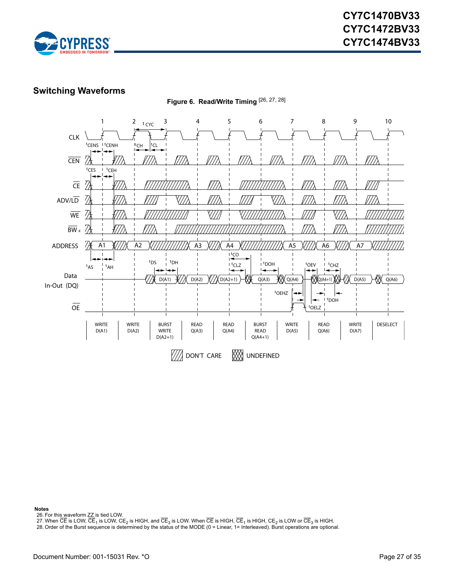

### <span id="page-26-0"></span>**Switching Waveforms**



**Notes**

<span id="page-26-1"></span>26. For this waveform ZZ is tied LOW.

<span id="page-26-2"></span>27. When CE is LOW,  $\overline{CE}_1$  is LOW,  $CE_2$  is HIGH, and  $\overline{CE}_3$  is LOW. When  $\overline{CE}$  is HIGH,  $\overline{CE}_1$  is HIGH,  $CE_2$  is LOW or  $\overline{CE}_3$  is HIGH.

<span id="page-26-3"></span>28. Order of the Burst sequence is determined by the status of the MODE (0 = Linear, 1= Interleaved). Burst operations are optional.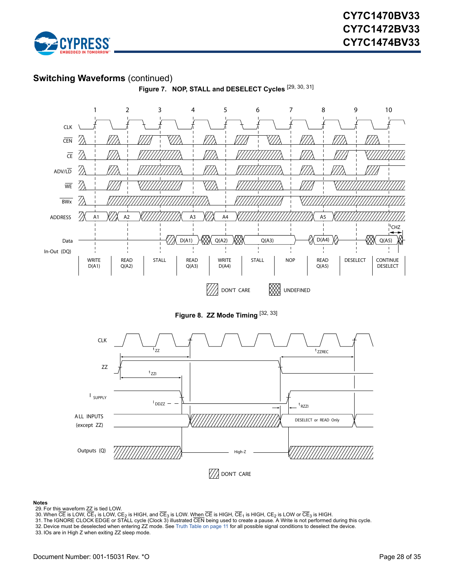

#### **Switching Waveforms** (continued)



#### **Notes**

- <span id="page-27-0"></span>29. For this waveform ZZ is tied LOW.
- 
- <span id="page-27-2"></span><span id="page-27-1"></span>30. When CE is LOW, CE<sub>1</sub> is LOW, CE<sub>2</sub> is HIGH, and CE<sub>3</sub> is LOW. W<u>hen</u> CE is HIGH, CE<sub>1</sub> is HIGH, CE<sub>2</sub> is LOW or CE<sub>3</sub> is HIGH.<br>31. The IGNORE CLOCK EDGE or STALL cycle (Clock 3) illustrated CEN being used to create a

**22** DON'T CARE

<span id="page-27-3"></span>32. Device must be deselected when entering ZZ mode. See [Truth Table on page 11](#page-10-0) for all possible signal conditions to deselect the device.

<span id="page-27-4"></span>33. IOs are in High Z when exiting ZZ sleep mode.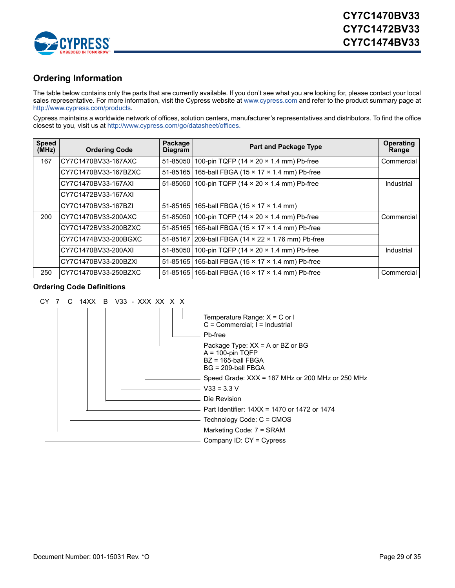

# <span id="page-28-0"></span>**Ordering Information**

The table below contains only the parts that are currently available. If you don't see what you are looking for, please contact your local sales representative. For more information, visit the Cypress website at [www.cypress.com](http://www.cypress.com) and refer to the product summary page at [http://www.cypress.com/products.](http://www.cypress.com/products/)

Cypress maintains a worldwide network of offices, solution centers, manufacturer's representatives and distributors. To find the office closest to you, visit us at [http://www.cypress.com/go/datasheet/offices.](http://www.cypress.com/go/datasheet/offices)

| <b>Speed</b><br>(MHz) | <b>Ordering Code</b> | Package<br><b>Diagram</b> | <b>Part and Package Type</b>                        | <b>Operating</b><br>Range |
|-----------------------|----------------------|---------------------------|-----------------------------------------------------|---------------------------|
| 167                   | CY7C1470BV33-167AXC  |                           | 51-85050 100-pin TQFP (14 x 20 x 1.4 mm) Pb-free    | Commercial                |
|                       | CY7C1470BV33-167BZXC |                           | 51-85165   165-ball FBGA (15 x 17 x 1.4 mm) Pb-free |                           |
|                       | CY7C1470BV33-167AXI  |                           | 51-85050 100-pin TQFP (14 x 20 x 1.4 mm) Pb-free    | Industrial                |
|                       | CY7C1472BV33-167AXI  |                           |                                                     |                           |
|                       | CY7C1470BV33-167BZI  |                           | 51-85165   165-ball FBGA (15 x 17 x 1.4 mm)         |                           |
| 200                   | CY7C1470BV33-200AXC  |                           | 51-85050 100-pin TQFP (14 x 20 x 1.4 mm) Pb-free    | Commercial                |
|                       | CY7C1472BV33-200BZXC |                           | 51-85165 165-ball FBGA (15 x 17 x 1.4 mm) Pb-free   |                           |
|                       | CY7C1474BV33-200BGXC |                           | 51-85167 209-ball FBGA (14 x 22 x 1.76 mm) Pb-free  |                           |
|                       | CY7C1470BV33-200AXI  | 51-85050                  | 100-pin TQFP (14 × 20 × 1.4 mm) Pb-free             | Industrial                |
|                       | CY7C1470BV33-200BZXI |                           | 51-85165   165-ball FBGA (15 x 17 x 1.4 mm) Pb-free |                           |
| 250                   | CY7C1470BV33-250BZXC |                           | 51-85165   165-ball FBGA (15 x 17 x 1.4 mm) Pb-free | Commercial                |

#### <span id="page-28-1"></span>**Ordering Code Definitions**

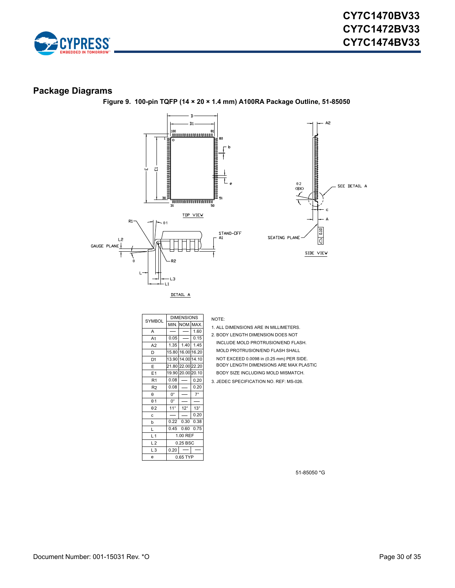

#### <span id="page-29-0"></span>**Package Diagrams**



**Figure 9. 100-pin TQFP (14 × 20 × 1.4 mm) A100RA Package Outline, 51-85050**

|                |                      | <b>DIMENSIONS</b> |             |  |
|----------------|----------------------|-------------------|-------------|--|
| <b>SYMBOL</b>  |                      | min. Inom.Imax.   |             |  |
| A              |                      |                   | 1.60        |  |
| A <sub>1</sub> | 0.05                 |                   | 0.15        |  |
| A2             | 1.35                 | 1.40              | 1.45        |  |
| D              | 15.80                | 16.00 16.20       |             |  |
| D <sub>1</sub> | 13.90                | 14.00 14.10       |             |  |
| E              |                      | 21.80 22.00 22.20 |             |  |
| E <sub>1</sub> |                      | 19.90 20.00 20.10 |             |  |
| R <sub>1</sub> | 0.08                 |                   | 0.20        |  |
| R <sub>2</sub> | 0.08                 |                   | 0.20        |  |
| θ              | $0^{\circ}$          |                   | $7^{\circ}$ |  |
| $\theta$ 1     | $0^{\circ}$          |                   |             |  |
| $\theta$ 2     | $11^{\circ}$         | $12^{\circ}$      | $13^\circ$  |  |
| c              |                      |                   | 0.20        |  |
| b              | 0.22                 | 0.30              | 0.38        |  |
| L              | 0.75<br>0.60<br>0.45 |                   |             |  |
| L <sub>1</sub> | 1.00 REF             |                   |             |  |
| L <sub>2</sub> |                      | $0.25$ BSC        |             |  |
| L <sub>3</sub> | 0.20                 |                   |             |  |
| e              | 0.65 TYP             |                   |             |  |

NOTE:

- 1. ALL DIMENSIONS ARE IN MILLIMETERS.
- 2. BODY LENGTH DIMENSION DOES NOT

INCLUDE MOLD PROTRUSION/END FLASH.

MOLD PROTRUSION/END FLASH SHALL

BODY SIZE INCLUDING MOLD MISMATCH. NOT EXCEED 0.0098 in (0.25 mm) PER SIDE. BODY LENGTH DIMENSIONS ARE MAX PLASTIC

3. JEDEC SPECIFICATION NO. REF: MS-026.

51-85050 \*G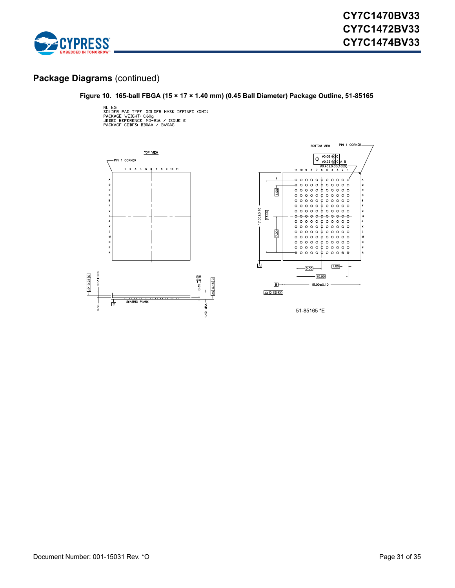

#### **Package Diagrams** (continued)

#### **Figure 10. 165-ball FBGA (15 × 17 × 1.40 mm) (0.45 Ball Diameter) Package Outline, 51-85165**

NOTES:<br>SOLDER PAD TYPE: SOLDER MASK DEFINED (SMD)<br>PACKAGE WEIGHT: 0.60g<br>JEDEC REFERENCE: MD-216 / ISSUE E<br>PACKAGE CODES: BB0AA / BW0AG





51-85165 \*E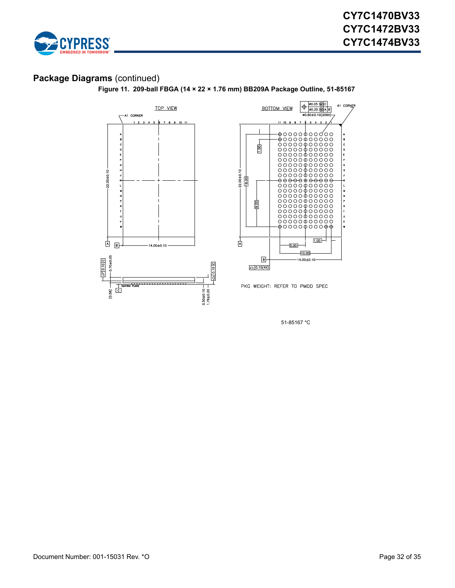

# **Package Diagrams** (continued)

**Figure 11. 209-ball FBGA (14 × 22 × 1.76 mm) BB209A Package Outline, 51-85167**





PKG WEIGHT: REFER TO PMDD SPEC

51-85167 \*C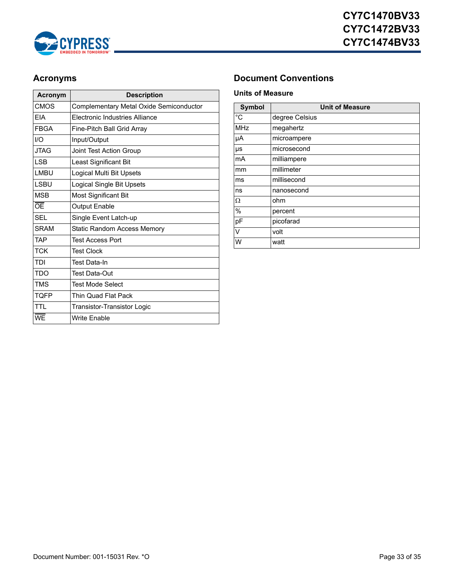

| Acronym     | <b>Description</b>                      |  |  |
|-------------|-----------------------------------------|--|--|
| <b>CMOS</b> | Complementary Metal Oxide Semiconductor |  |  |
| <b>FIA</b>  | <b>Flectronic Industries Alliance</b>   |  |  |
| <b>FBGA</b> | Fine-Pitch Ball Grid Array              |  |  |
| I/O         | Input/Output                            |  |  |
| JTAG        | Joint Test Action Group                 |  |  |
| <b>LSB</b>  | Least Significant Bit                   |  |  |
| I MBU       | Logical Multi Bit Upsets                |  |  |
| <b>ISBU</b> | Logical Single Bit Upsets               |  |  |
| <b>MSB</b>  | <b>Most Significant Bit</b>             |  |  |
| ŌE          | <b>Output Enable</b>                    |  |  |
| <b>SFL</b>  | Single Event Latch-up                   |  |  |
| <b>SRAM</b> | Static Random Access Memory             |  |  |
| <b>TAP</b>  | <b>Test Access Port</b>                 |  |  |
| <b>TCK</b>  | <b>Test Clock</b>                       |  |  |
| TDI         | Test Data-In                            |  |  |
| <b>TDO</b>  | <b>Test Data-Out</b>                    |  |  |
| <b>TMS</b>  | <b>Test Mode Select</b>                 |  |  |
| <b>TOFP</b> | Thin Quad Flat Pack                     |  |  |
| <b>TTI</b>  | Transistor-Transistor Logic             |  |  |
| <b>WE</b>   | <b>Write Enable</b>                     |  |  |

# <span id="page-32-0"></span>**Acronyms Document Conventions**

#### <span id="page-32-2"></span><span id="page-32-1"></span>**Units of Measure**

| <b>Symbol</b> | <b>Unit of Measure</b> |  |  |  |
|---------------|------------------------|--|--|--|
| °C            | degree Celsius         |  |  |  |
| <b>MHz</b>    | megahertz              |  |  |  |
| μA            | microampere            |  |  |  |
| μs            | microsecond            |  |  |  |
| mA            | milliampere            |  |  |  |
| mm            | millimeter             |  |  |  |
| ms            | millisecond            |  |  |  |
| ns            | nanosecond             |  |  |  |
| Ω             | ohm                    |  |  |  |
| $\frac{0}{0}$ | percent                |  |  |  |
| pF            | picofarad              |  |  |  |
| V             | volt                   |  |  |  |
| W             | watt                   |  |  |  |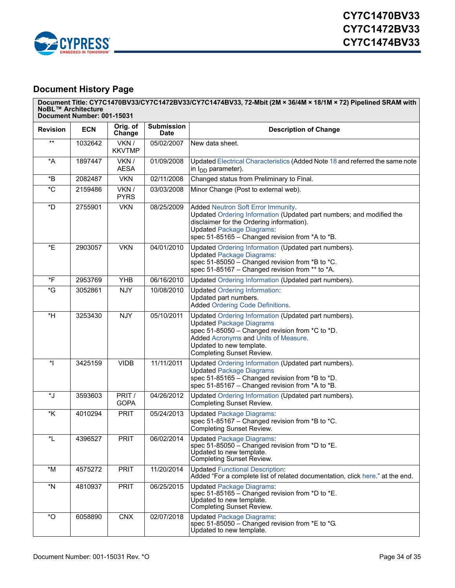

# <span id="page-33-0"></span>**Document History Page**

| <b>Revision</b> | <b>ECN</b> | Orig. of<br>Change     | <b>Submission</b><br><b>Date</b> | <b>Description of Change</b>                                                                                                                                                                                                                       |  |  |  |
|-----------------|------------|------------------------|----------------------------------|----------------------------------------------------------------------------------------------------------------------------------------------------------------------------------------------------------------------------------------------------|--|--|--|
| $***$           | 1032642    | VKN /<br><b>KKVTMP</b> | 05/02/2007                       | New data sheet.                                                                                                                                                                                                                                    |  |  |  |
| *A              | 1897447    | VKN/<br><b>AESA</b>    | 01/09/2008                       | Updated Electrical Characteristics (Added Note 18 and referred the same note<br>in $I_{DD}$ parameter).                                                                                                                                            |  |  |  |
| *B              | 2082487    | <b>VKN</b>             | 02/11/2008                       | Changed status from Preliminary to Final.                                                                                                                                                                                                          |  |  |  |
| $^{\star}$ C    | 2159486    | VKN /<br><b>PYRS</b>   | 03/03/2008                       | Minor Change (Post to external web).                                                                                                                                                                                                               |  |  |  |
| *D              | 2755901    | <b>VKN</b>             | 08/25/2009                       | Added Neutron Soft Error Immunity.<br>Updated Ordering Information (Updated part numbers; and modified the<br>disclaimer for the Ordering information).<br><b>Updated Package Diagrams:</b><br>spec 51-85165 - Changed revision from *A to *B.     |  |  |  |
| *E              | 2903057    | <b>VKN</b>             | 04/01/2010                       | Updated Ordering Information (Updated part numbers).<br><b>Updated Package Diagrams:</b><br>spec 51-85050 - Changed revision from *B to *C.<br>spec 51-85167 - Changed revision from ** to *A.                                                     |  |  |  |
| *F              | 2953769    | <b>YHB</b>             | 06/16/2010                       | Updated Ordering Information (Updated part numbers).                                                                                                                                                                                               |  |  |  |
| $\overline{G}$  | 3052861    | <b>NJY</b>             | 10/08/2010                       | <b>Updated Ordering Information:</b><br>Updated part numbers.<br><b>Added Ordering Code Definitions.</b>                                                                                                                                           |  |  |  |
| $*H$            | 3253430    | <b>NJY</b>             | 05/10/2011                       | Updated Ordering Information (Updated part numbers).<br><b>Updated Package Diagrams</b><br>spec 51-85050 - Changed revision from *C to *D.<br>Added Acronyms and Units of Measure.<br>Updated to new template.<br><b>Completing Sunset Review.</b> |  |  |  |
| $\ddot{\ }$     | 3425159    | <b>VIDB</b>            | 11/11/2011                       | Updated Ordering Information (Updated part numbers).<br><b>Updated Package Diagrams</b><br>spec 51-85165 - Changed revision from *B to *D.<br>spec 51-85167 - Changed revision from *A to *B.                                                      |  |  |  |
| *J              | 3593603    | PRIT /<br><b>GOPA</b>  | 04/26/2012                       | Updated Ordering Information (Updated part numbers).<br>Completing Sunset Review.                                                                                                                                                                  |  |  |  |
| *K              | 4010294    | <b>PRIT</b>            | 05/24/2013                       | <b>Updated Package Diagrams:</b><br>spec 51-85167 - Changed revision from *B to *C.<br>Completing Sunset Review.                                                                                                                                   |  |  |  |
| *L              | 4396527    | <b>PRIT</b>            | 06/02/2014                       | <b>Updated Package Diagrams:</b><br>spec 51-85050 $-$ Changed revision from *D to *E.<br>Updated to new template.<br>Completing Sunset Review.                                                                                                     |  |  |  |
| $*M$            | 4575272    | <b>PRIT</b>            | 11/20/2014                       | <b>Updated Functional Description:</b><br>Added "For a complete list of related documentation, click here." at the end.                                                                                                                            |  |  |  |
| $*_{N}$         | 4810937    | <b>PRIT</b>            | 06/25/2015                       | <b>Updated Package Diagrams:</b><br>spec 51-85165 – Changed revision from $*D$ to $*E$ .<br>Updated to new template.<br>Completing Sunset Review.                                                                                                  |  |  |  |
| $\sqrt*{O}$     | 6058890    | <b>CNX</b>             | 02/07/2018                       | <b>Updated Package Diagrams:</b><br>spec 51-85050 $-$ Changed revision from $E$ to $E$ G.<br>Updated to new template.                                                                                                                              |  |  |  |